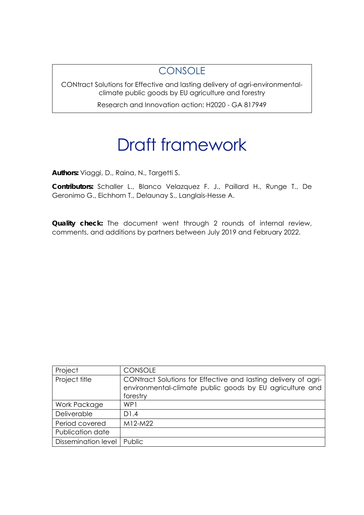### **CONSOLE**

CONtract Solutions for Effective and lasting delivery of agri-environmentalclimate public goods by EU agriculture and forestry

Research and Innovation action: H2020 - GA 817949

# Draft framework

**Authors:** Viaggi, D., Raina, N., Targetti S.

**Contributors:** Schaller L., Blanco Velazquez F. J., Paillard H., Runge T., De Geronimo G., Eichhorn T., Delaunay S., Langlais-Hesse A.

**Quality check:** The document went through 2 rounds of internal review, comments, and additions by partners between July 2019 and February 2022.

| Project                    | <b>CONSOLE</b>                                                                                                                         |
|----------------------------|----------------------------------------------------------------------------------------------------------------------------------------|
| Project title              | CONtract Solutions for Effective and lasting delivery of agri-<br>environmental-climate public goods by EU agriculture and<br>forestry |
| Work Package               | WP <sub>1</sub>                                                                                                                        |
| Deliverable                | D1.4                                                                                                                                   |
| Period covered             | $M12-M22$                                                                                                                              |
| Publication date           |                                                                                                                                        |
| <b>Dissemination level</b> | Public                                                                                                                                 |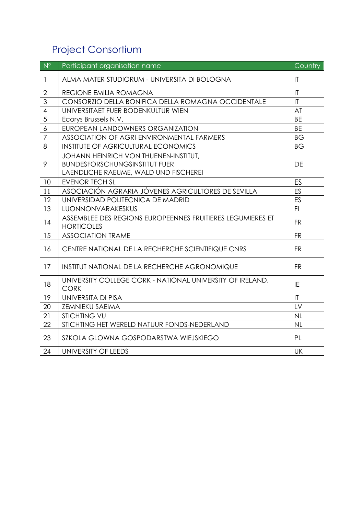## Project Consortium

| $N^{\circ}$    | Participant organisation name                                                   | <b>Country</b>         |
|----------------|---------------------------------------------------------------------------------|------------------------|
| $\mathbf{1}$   | ALMA MATER STUDIORUM - UNIVERSITA DI BOLOGNA                                    | $\mathsf{I}\mathsf{T}$ |
| $\overline{2}$ | REGIONE EMILIA ROMAGNA                                                          | $\mathsf{I}\mathsf{T}$ |
| 3              | CONSORZIO DELLA BONIFICA DELLA ROMAGNA OCCIDENTALE                              | $\mathsf{I}\mathsf{T}$ |
| $\overline{4}$ | UNIVERSITAET FUER BODENKULTUR WIEN                                              | AT                     |
| 5              | Ecorys Brussels N.V.                                                            | <b>BE</b>              |
| 6              | EUROPEAN LANDOWNERS ORGANIZATION                                                | <b>BE</b>              |
| $\overline{7}$ | ASSOCIATION OF AGRI-ENVIRONMENTAL FARMERS                                       | <b>BG</b>              |
| 8              | <b>INSTITUTE OF AGRICULTURAL ECONOMICS</b>                                      | <b>BG</b>              |
|                | JOHANN HEINRICH VON THUENEN-INSTITUT,                                           |                        |
| 9              | <b>BUNDESFORSCHUNGSINSTITUT FUER</b>                                            | DE                     |
|                | LAENDLICHE RAEUME, WALD UND FISCHEREI                                           |                        |
| 10             | <b>EVENOR TECH SL</b>                                                           | ES                     |
| 11             | ASOCIACIÓN AGRARIA JÓVENES AGRICULTORES DE SEVILLA                              | ES                     |
| 12             | UNIVERSIDAD POLITECNICA DE MADRID                                               | ES                     |
| 13             | LUONNONVARAKESKUS                                                               | F1                     |
| 14             | ASSEMBLEE DES REGIONS EUROPEENNES FRUITIERES LEGUMIERES ET<br><b>HORTICOLES</b> | <b>FR</b>              |
| 15             | <b>ASSOCIATION TRAME</b>                                                        | <b>FR</b>              |
| 16             | CENTRE NATIONAL DE LA RECHERCHE SCIENTIFIQUE CNRS                               | <b>FR</b>              |
| 17             | INSTITUT NATIONAL DE LA RECHERCHE AGRONOMIQUE                                   | <b>FR</b>              |
| 18             | UNIVERSITY COLLEGE CORK - NATIONAL UNIVERSITY OF IRELAND,<br><b>CORK</b>        | IE                     |
| 19             | UNIVERSITA DI PISA                                                              | $\mathsf{I}\mathsf{T}$ |
| 20             | ZEMNIEKU SAEIMA                                                                 | LV                     |
| 21             | <b>STICHTING VU</b>                                                             | NL                     |
| 22             | STICHTING HET WERELD NATUUR FONDS-NEDERLAND                                     | NL                     |
| 23             | SZKOLA GLOWNA GOSPODARSTWA WIEJSKIEGO                                           | <b>PL</b>              |
| 24             | UNIVERSITY OF LEEDS                                                             | <b>UK</b>              |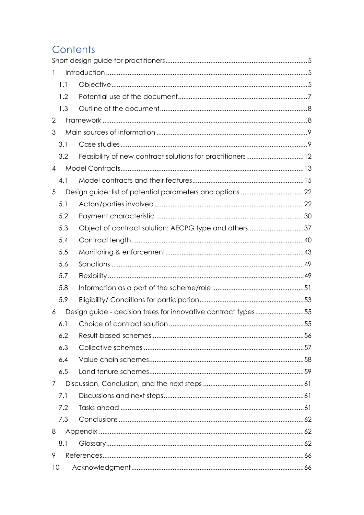## Contents

| $\mathbf{1}$   |     |                                                               |  |
|----------------|-----|---------------------------------------------------------------|--|
|                | 1.1 |                                                               |  |
|                | 1.2 |                                                               |  |
|                | 1.3 |                                                               |  |
| $\overline{2}$ |     |                                                               |  |
| 3              |     |                                                               |  |
|                | 3.1 |                                                               |  |
|                | 3.2 | Feasibility of new contract solutions for practitioners12     |  |
| $\overline{4}$ |     |                                                               |  |
|                | 4.1 |                                                               |  |
| 5              |     |                                                               |  |
|                | 5.1 |                                                               |  |
|                | 5.2 |                                                               |  |
|                | 5.3 | Object of contract solution: AECPG type and others37          |  |
|                | 5.4 |                                                               |  |
|                | 5.5 |                                                               |  |
|                | 5.6 |                                                               |  |
|                | 5.7 |                                                               |  |
|                | 5.8 |                                                               |  |
|                | 5.9 |                                                               |  |
| 6              |     | Design guide - decision trees for innovative contract types55 |  |
|                | 6.1 |                                                               |  |
|                | 6.2 |                                                               |  |
|                | 6.3 |                                                               |  |
|                | 6.4 |                                                               |  |
|                | 6.5 |                                                               |  |
| $\overline{7}$ |     |                                                               |  |
|                | 7.1 |                                                               |  |
|                | 7.2 |                                                               |  |
|                | 7.3 |                                                               |  |
| 8              |     |                                                               |  |
|                | 8.1 |                                                               |  |
| 9              |     |                                                               |  |
| 10             |     |                                                               |  |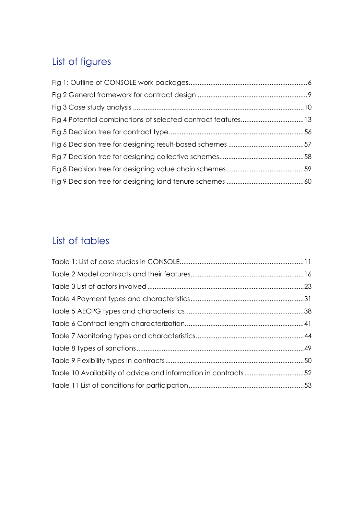## List of figures

## List of tables

| Table 10 Availability of advice and information in contracts52 |  |
|----------------------------------------------------------------|--|
|                                                                |  |
|                                                                |  |
|                                                                |  |
|                                                                |  |
|                                                                |  |
|                                                                |  |
|                                                                |  |
|                                                                |  |
|                                                                |  |
|                                                                |  |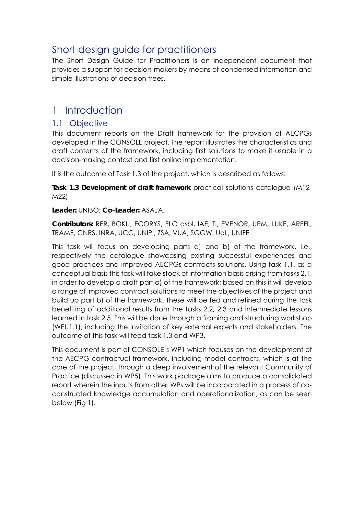## Short design guide for practitioners

The Short Design Guide for Practitioners is an independent document that provides a support for decision-makers by means of condensed information and simple illustrations of decision trees.

## 1 Introduction

#### 1.1 Objective

This document reports on the Draft framework for the provision of AECPGs developed in the CONSOLE project. The report illustrates the characteristics and draft contents of the framework, including first solutions to make it usable in a decision-making context and first online implementation.

It is the outcome of Task 1.3 of the project, which is described as follows:

**Task 1.3 Development of draft framework** practical solutions catalogue (M12- M22)

**Leader:** UNIBO; **Co-Leader:** ASAJA.

**Contributors:** RER, BOKU, ECORYS, ELO asbl, IAE, TI, EVENOR, UPM, LUKE, AREFL, TRAME, CNRS, INRA, UCC, UNIPI, ZSA, VUA, SGGW, UoL, UNIFE

This task will focus on developing parts a) and b) of the framework, i.e., respectively the catalogue showcasing existing successful experiences and good practices and improved AECPGs contracts solutions. Using task 1.1. as a conceptual basis this task will take stock of information basis arising from tasks 2.1, in order to develop a draft part a) of the framework; based on this it will develop a range of improved contract solutions to meet the objectives of the project and build up part b) of the framework. These will be fed and refined during the task benefiting of additional results from the tasks 2.2, 2.3 and intermediate lessons learned in task 2.5. This will be done through a framing and structuring workshop (WEU1.1), including the invitation of key external experts and stakeholders. The outcome of this task will feed task 1.3 and WP3.

This document is part of CONSOLE's WP1 which focuses on the development of the AECPG contractual framework, including model contracts, which is at the core of the project, through a deep involvement of the relevant Community of Practice (discussed in WP5). This work package aims to produce a consolidated report wherein the inputs from other WPs will be incorporated in a process of coconstructed knowledge accumulation and operationalization, as can be seen below (Fig 1).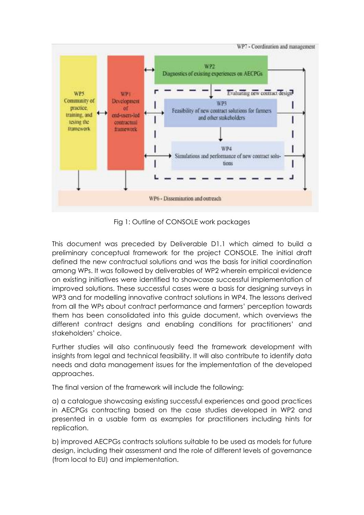

Fig 1: Outline of CONSOLE work packages

This document was preceded by Deliverable D1.1 which aimed to build a preliminary conceptual framework for the project CONSOLE. The initial draft defined the new contractual solutions and was the basis for initial coordination among WPs. It was followed by deliverables of WP2 wherein empirical evidence on existing initiatives were identified to showcase successful implementation of improved solutions. These successful cases were a basis for designing surveys in WP3 and for modelling innovative contract solutions in WP4. The lessons derived from all the WPs about contract performance and farmers' perception towards them has been consolidated into this guide document, which overviews the different contract designs and enabling conditions for practitioners' and stakeholders' choice.

Further studies will also continuously feed the framework development with insights from legal and technical feasibility. It will also contribute to identify data needs and data management issues for the implementation of the developed approaches.

The final version of the framework will include the following:

a) a catalogue showcasing existing successful experiences and good practices in AECPGs contracting based on the case studies developed in WP2 and presented in a usable form as examples for practitioners including hints for replication.

b) improved AECPGs contracts solutions suitable to be used as models for future design, including their assessment and the role of different levels of governance (from local to EU) and implementation.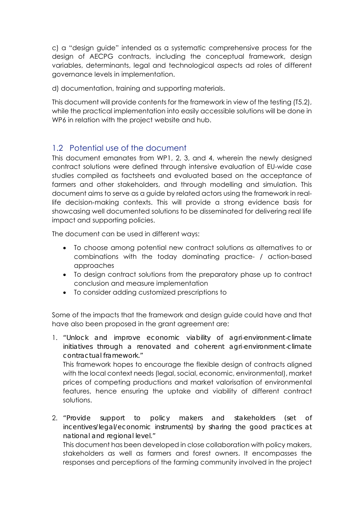c) a "design guide" intended as a systematic comprehensive process for the design of AECPG contracts, including the conceptual framework, design variables, determinants, legal and technological aspects ad roles of different governance levels in implementation.

d) documentation, training and supporting materials.

This document will provide contents for the framework in view of the testing (T5.2), while the practical implementation into easily accessible solutions will be done in WP6 in relation with the project website and hub.

#### 1.2 Potential use of the document

This document emanates from WP1, 2, 3, and 4, wherein the newly designed contract solutions were defined through intensive evaluation of EU-wide case studies compiled as factsheets and evaluated based on the acceptance of farmers and other stakeholders, and through modelling and simulation. This document aims to serve as a guide by related actors using the framework in reallife decision-making contexts. This will provide a strong evidence basis for showcasing well documented solutions to be disseminated for delivering real life impact and supporting policies.

The document can be used in different ways:

- To choose among potential new contract solutions as alternatives to or combinations with the today dominating practice- / action-based approaches
- To design contract solutions from the preparatory phase up to contract conclusion and measure implementation
- To consider adding customized prescriptions to

Some of the impacts that the framework and design guide could have and that have also been proposed in the grant agreement are:

1. *"Unlock and improve economic viability of agri*-*environment*-*climate initiatives through a renovated and coherent agri*-*environment*-*climate contractual framework."*

This framework hopes to encourage the flexible design of contracts aligned with the local context needs (legal, social, economic, environmental), market prices of competing productions and market valorisation of environmental features, hence ensuring the uptake and viability of different contract solutions.

2. *"Provide support to policy makers and stakeholders (set of incentives/legal/economic instruments) by sharing the good practices at national and regional level."*

This document has been developed in close collaboration with policy makers, stakeholders as well as farmers and forest owners. It encompasses the responses and perceptions of the farming community involved in the project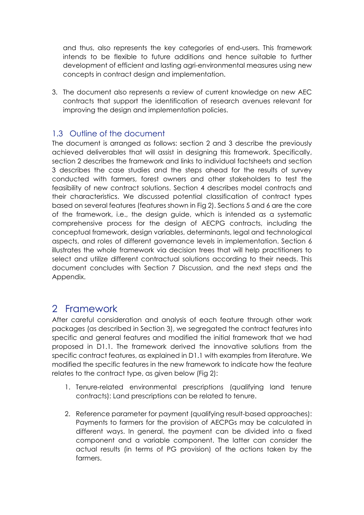and thus, also represents the key categories of end-users. This framework intends to be flexible to future additions and hence suitable to further development of efficient and lasting agri-environmental measures using new concepts in contract design and implementation.

3. The document also represents a review of current knowledge on new AEC contracts that support the identification of research avenues relevant for improving the design and implementation policies.

#### 1.3 Outline of the document

The document is arranged as follows: section 2 and 3 describe the previously achieved deliverables that will assist in designing this framework. Specifically, section 2 describes the framework and links to individual factsheets and section 3 describes the case studies and the steps ahead for the results of survey conducted with farmers, forest owners and other stakeholders to test the feasibility of new contract solutions. Section 4 describes model contracts and their characteristics. We discussed potential classification of contract types based on several features (features shown in Fig 2). Sections 5 and 6 are the core of the framework, i.e., the design guide, which is intended as a systematic comprehensive process for the design of AECPG contracts, including the conceptual framework, design variables, determinants, legal and technological aspects, and roles of different governance levels in implementation. Section 6 illustrates the whole framework via decision trees that will help practitioners to select and utilize different contractual solutions according to their needs. This document concludes with Section 7 Discussion, and the next steps and the Appendix.

### 2 Framework

After careful consideration and analysis of each feature through other work packages (as described in Section 3), we segregated the contract features into specific and general features and modified the initial framework that we had proposed in D1.1. The framework derived the innovative solutions from the specific contract features, as explained in D1.1 with examples from literature. We modified the specific features in the new framework to indicate how the feature relates to the contract type, as given below (Fig 2):

- 1. Tenure-related environmental prescriptions (qualifying land tenure contracts): Land prescriptions can be related to tenure.
- 2. Reference parameter for payment (qualifying result-based approaches): Payments to farmers for the provision of AECPGs may be calculated in different ways. In general, the payment can be divided into a fixed component and a variable component. The latter can consider the actual results (in terms of PG provision) of the actions taken by the farmers.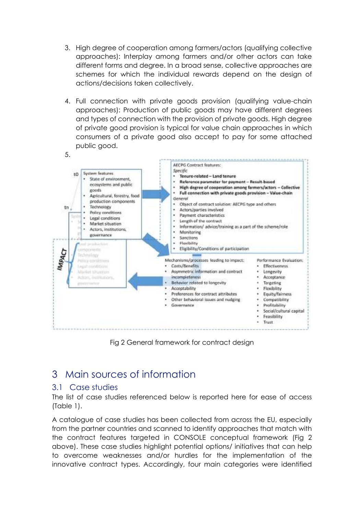- 3. High degree of cooperation among farmers/actors (qualifying collective approaches): Interplay among farmers and/or other actors can take different forms and degree. In a broad sense, collective approaches are schemes for which the individual rewards depend on the design of actions/decisions taken collectively.
- 4. Full connection with private goods provision (qualifying value-chain approaches): Production of public goods may have different degrees and types of connection with the provision of private goods. High degree of private good provision is typical for value chain approaches in which consumers of a private good also accept to pay for some attached public good.



Fig 2 General framework for contract design

## 3 Main sources of information

#### 3.1 Case studies

The list of case studies referenced below is reported here for ease of access (Table 1).

A catalogue of case studies has been collected from across the EU, especially from the partner countries and scanned to identify approaches that match with the contract features targeted in CONSOLE conceptual framework (Fig 2 above). These case studies highlight potential options/ initiatives that can help to overcome weaknesses and/or hurdles for the implementation of the innovative contract types. Accordingly, four main categories were identified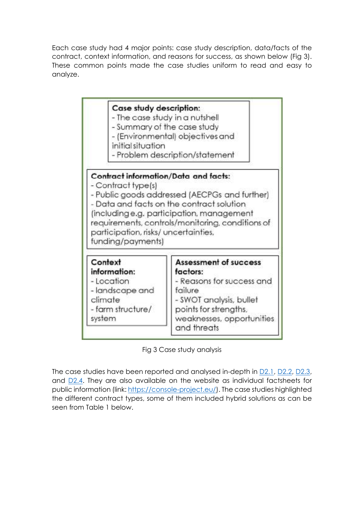Each case study had 4 major points: case study description, data/facts of the contract, context information, and reasons for success, as shown below (Fig 3). These common points made the case studies uniform to read and easy to analyze.



Fig 3 Case study analysis

The case studies have been reported and analysed in-depth in D2.1, D2.2, D2.3, and D2.4. They are also available on the website as individual factsheets for public information (link: https://console-project.eu/). The case studies highlighted the different contract types, some of them included hybrid solutions as can be seen from Table 1 below.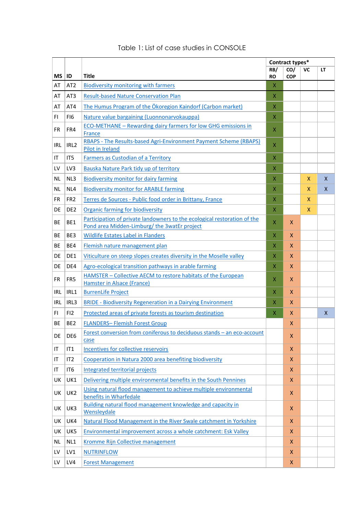|            |                  |                                                                                                                         |                  | Contract types*    |    |    |
|------------|------------------|-------------------------------------------------------------------------------------------------------------------------|------------------|--------------------|----|----|
| ΜS         | <b>ID</b>        | <b>Title</b>                                                                                                            | RB/<br><b>RO</b> | CO/<br><b>COP</b>  | VC | LT |
| AT         | AT <sub>2</sub>  | <b>Biodiversity monitoring with farmers</b>                                                                             | X                |                    |    |    |
| AT         | AT <sub>3</sub>  | <b>Result-based Nature Conservation Plan</b>                                                                            | x                |                    |    |    |
| AT         | AT4              | The Humus Program of the Ökoregion Kaindorf (Carbon market)                                                             | X                |                    |    |    |
| FI         | FI <sub>6</sub>  | Nature value bargaining (Luonnonarvokauppa)                                                                             | X                |                    |    |    |
| <b>FR</b>  | FR4              | <b>ECO-METHANE - Rewarding dairy farmers for low GHG emissions in</b><br>France                                         | X                |                    |    |    |
| <b>IRL</b> | IRL <sub>2</sub> | RBAPS - The Results-based Agri-Environment Payment Scheme (RBAPS)<br><b>Pilot in Ireland</b>                            | X                |                    |    |    |
| ΙT         | IT5              | <b>Farmers as Custodian of a Territory</b>                                                                              | X                |                    |    |    |
| LV         | LV3              | Bauska Nature Park tidy up of territory                                                                                 | X                |                    |    |    |
| <b>NL</b>  | NL3              | <b>Biodiversity monitor for dairy farming</b>                                                                           | X                |                    | X  | X  |
| ΝL         | NL4              | <b>Biodiversity monitor for ARABLE farming</b>                                                                          | X                |                    | x  | X  |
| <b>FR</b>  | FR <sub>2</sub>  | Terres de Sources - Public food order in Brittany, France                                                               | Χ                |                    | X  |    |
| DE         | DE <sub>2</sub>  | <b>Organic farming for biodiversity</b>                                                                                 | X                |                    | X  |    |
| BE         | BE1              | Participation of private landowners to the ecological restoration of the<br>Pond area Midden-Limburg/the 3watEr project | X                | X                  |    |    |
| ВE         | BE3              | <b>Wildlife Estates Label in Flanders</b>                                                                               | X                | X                  |    |    |
| <b>BE</b>  | BE4              | Flemish nature management plan                                                                                          | X                | X                  |    |    |
| DE         | DE1              | Viticulture on steep slopes creates diversity in the Moselle valley                                                     | X                | $\mathsf{x}$       |    |    |
| DE         | DE4              | Agro-ecological transition pathways in arable farming                                                                   | X                | X                  |    |    |
| FR         | FR <sub>5</sub>  | HAMSTER - Collective AECM to restore habitats of the European                                                           | X                | $\pmb{\mathsf{X}}$ |    |    |
|            |                  | Hamster in Alsace (France)                                                                                              |                  |                    |    |    |
| <b>IRL</b> | IRL1             | <b>BurrenLife Project</b>                                                                                               | Χ                | X.                 |    |    |
| <b>IRL</b> | IRL3             | <b>BRIDE - Biodiversity Regeneration in a Dairying Environment</b>                                                      | X                | X                  |    |    |
| FI.        | FI2              | Protected areas of private forests as tourism destination                                                               | X                | X                  |    | X  |
| <b>BE</b>  | BE <sub>2</sub>  | <b>FLANDERS-Flemish Forest Group</b>                                                                                    |                  | X                  |    |    |
| DE         | DE <sub>6</sub>  | Forest conversion from coniferous to deciduous stands - an eco-account<br>case                                          |                  | X                  |    |    |
| IT         | IT1              | Incentives for collective reservoirs                                                                                    |                  | X.                 |    |    |
| ΙT         | IT2              | Cooperation in Natura 2000 area benefiting biodiversity                                                                 |                  | X                  |    |    |
| ΙT         | IT6              | <b>Integrated territorial projects</b>                                                                                  |                  | X                  |    |    |
| UK         | UK1              | Delivering multiple environmental benefits in the South Pennines                                                        |                  | X                  |    |    |
| UK         | UK <sub>2</sub>  | Using natural flood management to achieve multiple environmental<br>benefits in Wharfedale                              |                  | X                  |    |    |
| UK         | UK3              | Building natural flood management knowledge and capacity in<br>Wensleydale                                              |                  | X                  |    |    |
| UK         | UK4              | Natural Flood Management in the River Swale catchment in Yorkshire                                                      |                  | X                  |    |    |
| UK         | UK5              | Environmental improvement across a whole catchment: Esk Valley                                                          |                  | X                  |    |    |
| NL.        | NL1              | Kromme Rijn Collective management                                                                                       |                  | X                  |    |    |
| LV         | LV1              | <b>NUTRINFLOW</b>                                                                                                       |                  | X                  |    |    |
| LV         | LV4              | <b>Forest Management</b>                                                                                                |                  | X                  |    |    |

#### Table 1: List of case studies in CONSOLE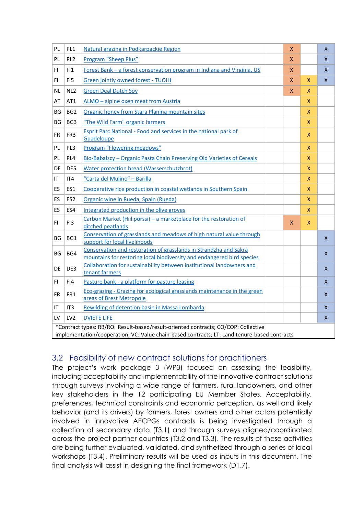| PL        | PL <sub>1</sub> | Natural grazing in Podkarpackie Region                                                                                                                                             | $\pmb{\mathsf{X}}$ |                    | X                  |
|-----------|-----------------|------------------------------------------------------------------------------------------------------------------------------------------------------------------------------------|--------------------|--------------------|--------------------|
| PL        | PL <sub>2</sub> | Program "Sheep Plus"                                                                                                                                                               | X                  |                    | X                  |
| FI.       | FI1             | Forest Bank - a forest conservation program in Indiana and Virginia, US                                                                                                            | X                  |                    | $\pmb{\mathsf{X}}$ |
| FI        | FI5             | Green jointly owned forest - TUOHI                                                                                                                                                 | $\pmb{\mathsf{X}}$ | X.                 | $\pmb{\mathsf{X}}$ |
| ΝL        | NL <sub>2</sub> | <b>Green Deal Dutch Soy</b>                                                                                                                                                        | X.                 | X.                 |                    |
| AT        | AT1             | ALMO - alpine oxen meat from Austria                                                                                                                                               |                    | X                  |                    |
| ΒG        | BG <sub>2</sub> | Organic honey from Stara Planina mountain sites                                                                                                                                    |                    | X                  |                    |
| BG        | BG3             | "The Wild Farm" organic farmers                                                                                                                                                    |                    | X                  |                    |
| FR        | FR <sub>3</sub> | Esprit Parc National - Food and services in the national park of<br>Guadeloupe                                                                                                     |                    | $\pmb{\mathsf{X}}$ |                    |
| PL        | PL3             | Program "Flowering meadows"                                                                                                                                                        |                    | X                  |                    |
| PL        | PL <sub>4</sub> | Bio-Babalscy - Organic Pasta Chain Preserving Old Varieties of Cereals                                                                                                             |                    | X                  |                    |
| <b>DE</b> | DE5             | Water protection bread (Wasserschutzbrot)                                                                                                                                          |                    | X.                 |                    |
| IT        | IT4             | "Carta del Mulino" - Barilla                                                                                                                                                       |                    | X                  |                    |
| <b>ES</b> | ES1             | Cooperative rice production in coastal wetlands in Southern Spain                                                                                                                  |                    | X                  |                    |
| ES        | ES <sub>2</sub> | Organic wine in Rueda, Spain (Rueda)                                                                                                                                               |                    | x                  |                    |
| ES        | ES4             | Integrated production in the olive groves                                                                                                                                          |                    | X                  |                    |
| FI.       | FI3             | Carbon Market (Hiilipörssi) - a marketplace for the restoration of<br>ditched peatlands                                                                                            | X.                 | X                  |                    |
| BG        | BG1             | Conservation of grasslands and meadows of high natural value through<br>support for local livelihoods                                                                              |                    |                    | X                  |
| ΒG        | BG4             | Conservation and restoration of grasslands in Strandzha and Sakra<br>mountains for restoring local biodiversity and endangered bird species                                        |                    |                    | $\pmb{\mathsf{X}}$ |
| DE        | DE3             | Collaboration for sustainability between institutional landowners and<br>tenant farmers                                                                                            |                    |                    | X                  |
| FI.       | FI4             | Pasture bank - a platform for pasture leasing                                                                                                                                      |                    |                    | X                  |
| <b>FR</b> | FR1             | Eco-grazing - Grazing for ecological grasslands maintenance in the green<br>areas of Brest Metropole                                                                               |                    |                    | $\pmb{\mathsf{X}}$ |
| ΙT        | IT <sub>3</sub> | Rewilding of detention basin in Massa Lombarda                                                                                                                                     |                    |                    | X                  |
| LV        | LV <sub>2</sub> | <b>DVIETE LIFE</b>                                                                                                                                                                 |                    |                    | $\mathsf{X}$       |
|           |                 | *Contract types: RB/RO: Result-based/result-oriented contracts; CO/COP: Collective<br>implementation/cooperation; VC: Value chain-based contracts; LT: Land tenure-based contracts |                    |                    |                    |

#### 3.2 Feasibility of new contract solutions for practitioners

The project's work package 3 (WP3) focused on assessing the feasibility, including acceptability and implementability of the innovative contract solutions through surveys involving a wide range of farmers, rural landowners, and other key stakeholders in the 12 participating EU Member States. Acceptability, preferences, technical constraints and economic perception, as well and likely behavior (and its drivers) by farmers, forest owners and other actors potentially involved in innovative AECPGs contracts is being investigated through a collection of secondary data (T3.1) and through surveys aligned/coordinated across the project partner countries (T3.2 and T3.3). The results of these activities are being further evaluated, validated, and synthetized through a series of local workshops (T3.4). Preliminary results will be used as inputs in this document. The final analysis will assist in designing the final framework (D1.7).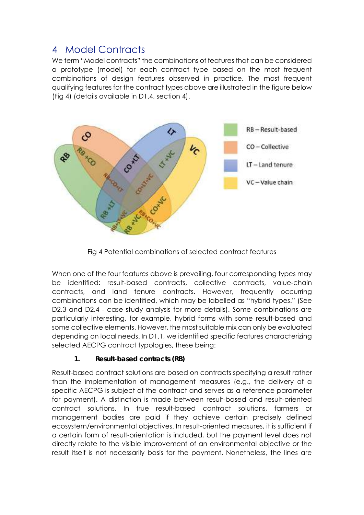### 4 Model Contracts

We term "Model contracts" the combinations of features that can be considered a prototype (model) for each contract type based on the most frequent combinations of design features observed in practice. The most frequent qualifying features for the contract types above are illustrated in the figure below (Fig 4) (details available in D1.4, section 4).



Fig 4 Potential combinations of selected contract features

When one of the four features above is prevailing, four corresponding types may be identified: result-based contracts, collective contracts, value-chain contracts, and land tenure contracts. However, frequently occurring combinations can be identified, which may be labelled as "hybrid types." (See D2.3 and D2.4 - case study analysis for more details). Some combinations are particularly interesting, for example, hybrid forms with some result-based and some collective elements. However, the most suitable mix can only be evaluated depending on local needs. In D1.1, we identified specific features characterizing selected AECPG contract typologies, these being:

#### **1. Result-based contracts (RB)**

Result-based contract solutions are based on contracts specifying a result rather than the implementation of management measures (e.g., the delivery of a specific AECPG is subject of the contract and serves as a reference parameter for payment). A distinction is made between result-based and result-oriented contract solutions. In true result-based contract solutions, farmers or management bodies are paid if they achieve certain precisely defined ecosystem/environmental objectives. In result-oriented measures, it is sufficient if a certain form of result-orientation is included, but the payment level does not directly relate to the visible improvement of an environmental objective or the result itself is not necessarily basis for the payment. Nonetheless, the lines are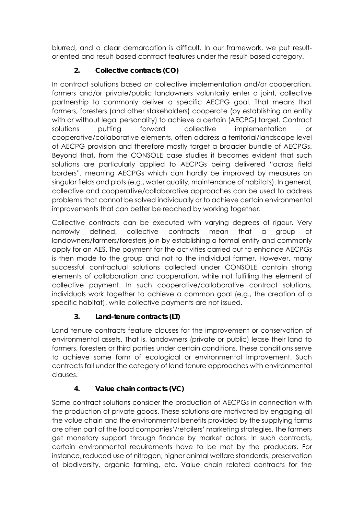blurred, and a clear demarcation is difficult. In our framework, we put resultoriented and result-based contract features under the result-based category.

#### **2. Collective contracts (CO)**

In contract solutions based on collective implementation and/or cooperation, farmers and/or private/public landowners voluntarily enter a joint, collective partnership to commonly deliver a specific AECPG goal. That means that farmers, foresters (and other stakeholders) cooperate (by establishing an entity with or without legal personality) to achieve a certain (AECPG) target. Contract solutions putting forward collective implementation or cooperative/collaborative elements, often address a territorial/landscape level of AECPG provision and therefore mostly target a broader bundle of AECPGs. Beyond that, from the CONSOLE case studies it becomes evident that such solutions are particularly applied to AECPGs being delivered "across field borders", meaning AECPGs which can hardly be improved by measures on singular fields and plots (e.g., water quality, maintenance of habitats). In general, collective and cooperative/collaborative approaches can be used to address problems that cannot be solved individually or to achieve certain environmental improvements that can better be reached by working together.

Collective contracts can be executed with varying degrees of rigour. Very narrowly defined, collective contracts mean that a group of landowners/farmers/foresters join by establishing a formal entity and commonly apply for an AES. The payment for the activities carried out to enhance AECPGs is then made to the group and not to the individual farmer. However, many successful contractual solutions collected under CONSOLE contain strong elements of collaboration and cooperation, while not fulfilling the element of collective payment. In such cooperative/collaborative contract solutions, individuals work together to achieve a common goal (e.g., the creation of a specific habitat), while collective payments are not issued.

#### **3. Land-tenure contracts (LT)**

Land tenure contracts feature clauses for the improvement or conservation of environmental assets. That is, landowners (private or public) lease their land to farmers, foresters or third parties under certain conditions. These conditions serve to achieve some form of ecological or environmental improvement. Such contracts fall under the category of land tenure approaches with environmental clauses.

#### **4. Value chain contracts (VC)**

Some contract solutions consider the production of AECPGs in connection with the production of private goods. These solutions are motivated by engaging all the value chain and the environmental benefits provided by the supplying farms are often part of the food companies'/retailers' marketing strategies. The farmers get monetary support through finance by market actors. In such contracts, certain environmental requirements have to be met by the producers. For instance, reduced use of nitrogen, higher animal welfare standards, preservation of biodiversity, organic farming, etc. Value chain related contracts for the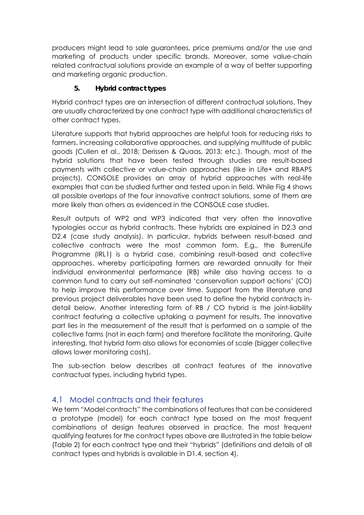producers might lead to sale guarantees, price premiums and/or the use and marketing of products under specific brands. Moreover, some value-chain related contractual solutions provide an example of a way of better supporting and marketing organic production.

#### **5. Hybrid contract types**

Hybrid contract types are an intersection of different contractual solutions. They are usually characterized by one contract type with additional characteristics of other contract types.

Literature supports that hybrid approaches are helpful tools for reducing risks to farmers, increasing collaborative approaches, and supplying multitude of public goods (Cullen et al., 2018; Derissen & Quaas, 2013; etc.). Though, most of the hybrid solutions that have been tested through studies are result-based payments with collective or value-chain approaches (like in Life+ and RBAPS projects), CONSOLE provides an array of hybrid approaches with real-life examples that can be studied further and tested upon in field. While Fig 4 shows all possible overlaps of the four innovative contract solutions, some of them are more likely than others as evidenced in the CONSOLE case studies.

Result outputs of WP2 and WP3 indicated that very often the innovative typologies occur as hybrid contracts. These hybrids are explained in D2.3 and D2.4 (case study analysis). In particular, hybrids between result-based and collective contracts were the most common form. E.g., the BurrenLife Programme (IRL1) is a hybrid case, combining result-based and collective approaches, whereby participating farmers are rewarded annually for their individual environmental performance (RB) while also having access to a common fund to carry out self-nominated 'conservation support actions' (CO) to help improve this performance over time. Support from the literature and previous project deliverables have been used to define the hybrid contracts indetail below. Another interesting form of RB / CO hybrid is the joint-liability contract featuring a collective uptaking a payment for results. The innovative part lies in the measurement of the result that is performed on a sample of the collective farms (not in each farm) and therefore facilitate the monitoring. Quite interesting, that hybrid form also allows for economies of scale (bigger collective allows lower monitoring costs).

The sub-section below describes all contract features of the innovative contractual types, including hybrid types.

#### 4.1 Model contracts and their features

We term "Model contracts" the combinations of features that can be considered a prototype (model) for each contract type based on the most frequent combinations of design features observed in practice. The most frequent qualifying features for the contract types above are illustrated in the table below (Table 2) for each contract type and their "hybrids" (definitions and details of all contract types and hybrids is available in D1.4, section 4).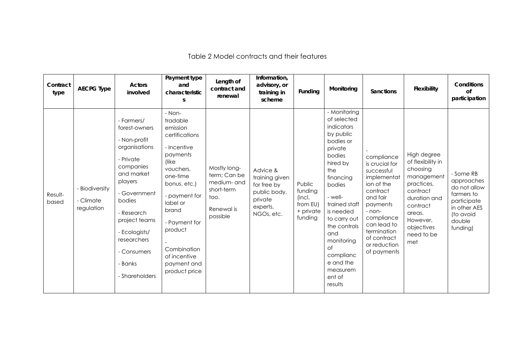Table 2 Model contracts and their features

| Contract<br>type | <b>AECPG Type</b>                         | Actors<br>involved                                                                                                                                                                                                                                   | Payment type<br>and<br>characteristic<br>S                                                                                                                                                                                                                     | Length of<br>contract and<br>renewal                                                        | Information,<br>advisory, or<br>training in<br>scheme                                          | Funding                                                         | Monitoring                                                                                                                                                                                                                                                                                        | Sanctions                                                                                                                                                                                                       | Flexibility                                                                                                                                                               | Conditions<br>of<br>participation                                                                                       |
|------------------|-------------------------------------------|------------------------------------------------------------------------------------------------------------------------------------------------------------------------------------------------------------------------------------------------------|----------------------------------------------------------------------------------------------------------------------------------------------------------------------------------------------------------------------------------------------------------------|---------------------------------------------------------------------------------------------|------------------------------------------------------------------------------------------------|-----------------------------------------------------------------|---------------------------------------------------------------------------------------------------------------------------------------------------------------------------------------------------------------------------------------------------------------------------------------------------|-----------------------------------------------------------------------------------------------------------------------------------------------------------------------------------------------------------------|---------------------------------------------------------------------------------------------------------------------------------------------------------------------------|-------------------------------------------------------------------------------------------------------------------------|
| Result-<br>based | - Biodiversity<br>- Climate<br>regulation | - Farmers/<br>forest-owners<br>- Non-profit<br>organisations<br>- Private<br>companies<br>and market<br>players<br>- Government<br>bodies<br>- Research<br>project teams<br>- Ecologists/<br>researchers<br>- Consumers<br>- Banks<br>- Shareholders | - Non-<br>tradable<br>emission<br>certifications<br>- Incentive<br>payments<br>(like<br>vouchers,<br>one-time<br>bonus, etc.)<br>- payment for<br>label or<br>brand<br>- Payment for<br>product<br>Combination<br>of incentive<br>payment and<br>product price | Mostly long-<br>term; Can be<br>medium- and<br>short-term<br>too.<br>Renewal is<br>possible | Advice &<br>training given<br>for free by<br>public body,<br>private<br>experts,<br>NGOs, etc. | Public<br>funding<br>(incl.<br>from EU)<br>+ private<br>funding | - Monitoring<br>of selected<br>indicators<br>by public<br>bodies or<br>private<br>bodies<br>hired by<br>the<br>financing<br>bodies<br>- well-<br>trained staff<br>is needed<br>to carry out<br>the controls<br>and<br>monitoring<br>Οf<br>complianc<br>e and the<br>measurem<br>ent of<br>results | compliance<br>is crucial for<br>successful<br>implementat<br>ion of the<br>contract<br>and fair<br>payments<br>- non-<br>compliance<br>can lead to<br>termination<br>of contract<br>or reduction<br>of payments | High degree<br>of flexibility in<br>choosing<br>management<br>practices,<br>contract<br>duration and<br>contract<br>areas.<br>However,<br>objectives<br>need to be<br>met | - Some RB<br>approaches<br>do not allow<br>farmers to<br>participate<br>in other AES<br>(to avoid<br>double<br>funding) |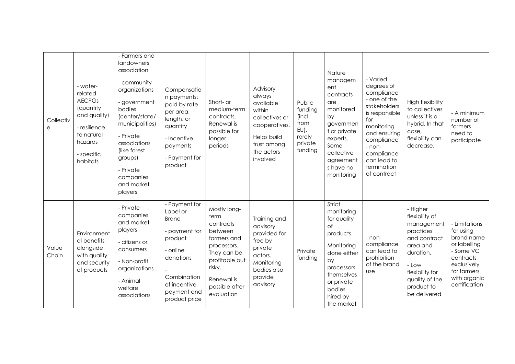| Collectiv<br>e | - water-<br>related<br><b>AECPGs</b><br>(quantity<br>and quality)<br>- resilience<br>to natural<br>hazards<br>- specific<br>habitats | - Farmers and<br>landowners<br>association<br>- community<br>organizations<br>- government<br>bodies<br>(center/state/<br>municipalities)<br>- Private<br>associations<br>(like forest<br>groups)<br>- Private<br>companies<br>and market<br>players | Compensatio<br>n payments:<br>paid by rate<br>per area,<br>length, or<br>quantity<br>- Incentive<br>payments<br>- Payment for<br>product                      | Short- or<br>medium-term<br>contracts.<br>Renewal is<br>possible for<br>longer<br>periods                                                                           | Advisory<br>always<br>available<br>within<br>collectives or<br>cooperatives.<br>Helps build<br>trust among<br>the actors<br>involved | Public<br>funding<br>(incl.<br>from<br>$EU$ ),<br>rarely<br>private<br>funding | Nature<br>managem<br>ent<br>contracts<br>are<br>monitored<br>by<br>governmen<br>t or private<br>experts.<br>Some<br>collective<br>agreement<br>s have no<br>monitoring  | - Varied<br>degrees of<br>compliance<br>- one of the<br>stakeholders<br>is responsible<br>for<br>monitoring<br>and ensuring<br>compliance<br>- non-<br>compliance<br>can lead to<br>termination<br>of contract | High flexibility<br>to collectives<br>unless it is a<br>hybrid. In that<br>case,<br>flexibility can<br>decrease.                                                           | - A minimum<br>number of<br>farmers<br>need to<br>participate                                                                                     |
|----------------|--------------------------------------------------------------------------------------------------------------------------------------|------------------------------------------------------------------------------------------------------------------------------------------------------------------------------------------------------------------------------------------------------|---------------------------------------------------------------------------------------------------------------------------------------------------------------|---------------------------------------------------------------------------------------------------------------------------------------------------------------------|--------------------------------------------------------------------------------------------------------------------------------------|--------------------------------------------------------------------------------|-------------------------------------------------------------------------------------------------------------------------------------------------------------------------|----------------------------------------------------------------------------------------------------------------------------------------------------------------------------------------------------------------|----------------------------------------------------------------------------------------------------------------------------------------------------------------------------|---------------------------------------------------------------------------------------------------------------------------------------------------|
| Value<br>Chain | Environment<br>al benefits<br>alongside<br>with quality<br>and security<br>of products                                               | - Private<br>companies<br>and market<br>players<br>- citizens or<br>consumers<br>- Non-profit<br>organizations<br>- Animal<br>welfare<br>associations                                                                                                | - Payment for<br>Label or<br><b>Brand</b><br>- payment for<br>product<br>- online<br>donations<br>Combination<br>of incentive<br>payment and<br>product price | Mostly long-<br>term<br>contracts<br>between<br>farmers and<br>processors.<br>They can be<br>profitable but<br>risky.<br>Renewal is<br>possible after<br>evaluation | Training and<br>advisory<br>provided for<br>free by<br>private<br>actors.<br>Monitoring<br>bodies also<br>provide<br>advisory        | Private<br>funding                                                             | Strict<br>monitoring<br>for quality<br>of<br>products.<br>Monitoring<br>done either<br>by<br>processors<br>themselves<br>or private<br>bodies<br>hired by<br>the market | - non-<br>compliance<br>can lead to<br>prohibition<br>of the brand<br>use                                                                                                                                      | - Higher<br>flexibility of<br>management<br>practices<br>and contract<br>area and<br>duration.<br>- Low<br>flexibility for<br>quality of the<br>product to<br>be delivered | - Limitations<br>for using<br>brand name<br>or labelling<br>- Some VC<br>contracts<br>exclusively<br>for farmers<br>with organic<br>certification |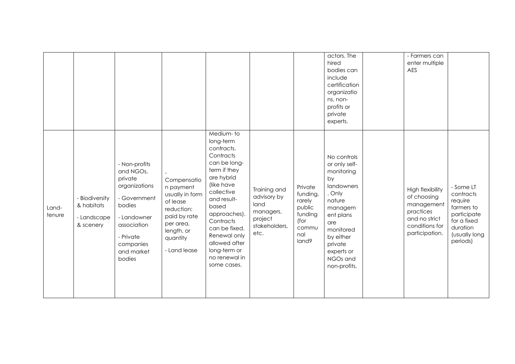|                 |                                                          |                                                                                                                                                                  |                                                                                                                                              |                                                                                                                                                                                                                                                                                    |                                                                                      |                                                                                     | actors. The<br>hired<br>bodies can<br>include<br>certification<br>organizatio<br>ns, non-<br>profits or<br>private<br>experts.                                                                   | - Farmers can<br>enter multiple<br>AES                                                                                 |                                                                                                                        |
|-----------------|----------------------------------------------------------|------------------------------------------------------------------------------------------------------------------------------------------------------------------|----------------------------------------------------------------------------------------------------------------------------------------------|------------------------------------------------------------------------------------------------------------------------------------------------------------------------------------------------------------------------------------------------------------------------------------|--------------------------------------------------------------------------------------|-------------------------------------------------------------------------------------|--------------------------------------------------------------------------------------------------------------------------------------------------------------------------------------------------|------------------------------------------------------------------------------------------------------------------------|------------------------------------------------------------------------------------------------------------------------|
| Land-<br>tenure | - Biodiversity<br>& habitats<br>- Landscape<br>& scenery | - Non-profits<br>and NGOs,<br>private<br>organizations<br>- Government<br>bodies<br>- Landowner<br>association<br>- Private<br>companies<br>and market<br>bodies | Compensatio<br>n payment<br>usually in form<br>of lease<br>reduction:<br>paid by rate<br>per area,<br>length, or<br>quantity<br>- Land lease | Medium-to<br>long-term<br>contracts.<br>Contracts<br>can be long-<br>term if they<br>are hybrid<br>(like have<br>collective<br>and result-<br>based<br>approaches).<br>Contracts<br>can be fixed.<br>Renewal only<br>allowed after<br>long-term or<br>no renewal in<br>some cases. | Training and<br>advisory by<br>land<br>managers,<br>project<br>stakeholders,<br>etc. | Private<br>funding,<br>rarely<br>public<br>funding<br>(for<br>commu<br>nal<br>land9 | No controls<br>or only self-<br>monitoring<br>by<br>landowners<br>. Only<br>nature<br>managem<br>ent plans<br>are<br>monitored<br>by either<br>private<br>experts or<br>NGOs and<br>non-profits. | <b>High flexibility</b><br>of choosing<br>management<br>practices<br>and no strict<br>conditions for<br>participation. | - Some LT<br>contracts<br>require<br>farmers to<br>participate<br>for a fixed<br>duration<br>(usually long<br>periods) |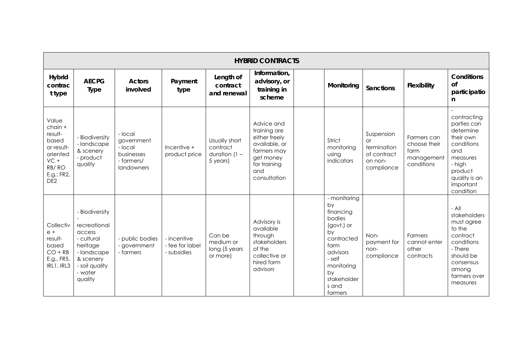|                                                                                                                      | <b>HYBRID CONTRACTS</b>                                                                                                               |                                                                            |                                               |                                                          |                                                                                                                                 |  |                                                                                                                                                                  |                                                                                |                                                                 |                                                                                                                                                       |  |  |
|----------------------------------------------------------------------------------------------------------------------|---------------------------------------------------------------------------------------------------------------------------------------|----------------------------------------------------------------------------|-----------------------------------------------|----------------------------------------------------------|---------------------------------------------------------------------------------------------------------------------------------|--|------------------------------------------------------------------------------------------------------------------------------------------------------------------|--------------------------------------------------------------------------------|-----------------------------------------------------------------|-------------------------------------------------------------------------------------------------------------------------------------------------------|--|--|
| <b>Hybrid</b><br>contrac<br>t type                                                                                   | <b>AECPG</b><br><b>Type</b>                                                                                                           | <b>Actors</b><br>involved                                                  | Payment<br>type                               | Length of<br>contract<br>and renewal                     | Information,<br>advisory, or<br>training in<br>scheme                                                                           |  | Monitoring                                                                                                                                                       | <b>Sanctions</b>                                                               | Flexibility                                                     | <b>Conditions</b><br>of<br>participatio<br>n                                                                                                          |  |  |
| Value<br>$chain +$<br>result-<br>based<br>or result-<br>oriented<br>$VC +$<br>RB/RO<br>E.g.: FR2,<br>DE <sub>2</sub> | - Biodiversity<br>- landscape<br>& scenery<br>- product<br>quality                                                                    | - local<br>government<br>- local<br>businesses<br>- farmers/<br>landowners | Incentive +<br>product price                  | Usually short<br>contract<br>duration $(1 -$<br>5 years) | Advice and<br>training are<br>either freely<br>available, or<br>farmers may<br>get money<br>for training<br>and<br>consultation |  | Strict<br>monitoring<br>using<br>indicators                                                                                                                      | Suspension<br><b>or</b><br>termination<br>of contract<br>on non-<br>compliance | Farmers can<br>choose their<br>farm<br>management<br>conditions | contracting<br>parties can<br>determine<br>their own<br>conditions<br>and<br>measures<br>- high<br>product<br>quality is an<br>important<br>condition |  |  |
| Collectiv<br>$e +$<br>result-<br>based<br>$CO + RB$<br>E.g., FR5,<br>IRL1, IRL3                                      | - Biodiversity<br>recreational<br>access<br>- cultural<br>heritage<br>-landscape<br>& scenery<br>- soil quality<br>- water<br>quality | - public bodies<br>- government<br>- farmers                               | - incentive<br>- fee for label<br>- subsidies | Can be<br>medium or<br>long (5 years<br>or more)         | Advisory is<br>available<br>through<br>stakeholders<br>of the<br>collective or<br>hired farm<br>advisors                        |  | - monitoring<br>by<br>financing<br>bodies<br>(govt.) or<br>by<br>contracted<br>farm<br>advisors<br>- self<br>monitoring<br>by<br>stakeholder<br>s and<br>farmers | Non-<br>payment for<br>non-<br>compliance                                      | Farmers<br>cannot enter<br>other<br>contracts                   | $-$ All<br>stakeholders<br>must agree<br>to the<br>contract<br>conditions<br>- There<br>should be<br>consensus<br>among<br>farmers over<br>measures   |  |  |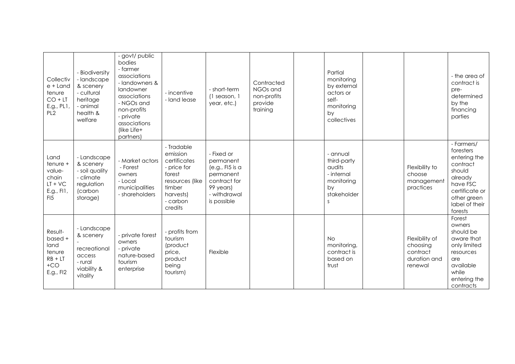| Collectiv<br>e + Land<br>tenure<br>$CO + LT$<br>E.g., PL1,<br>PL <sub>2</sub>     | - Biodiversity<br>- landscape<br>& scenery<br>- cultural<br>heritage<br>- animal<br>health &<br>welfare | - govt/ public<br>bodies<br>- farmer<br>associations<br>- landowners &<br>landowner<br>associations<br>- NGOs and<br>non-profits<br>- private<br>associations<br>(like Life+<br>partners) | - incentive<br>- land lease                                                                                                      | - short-term<br>$(1$ season, $1$<br>year, etc.)                                                                     | Contracted<br>NGOs and<br>non-profits<br>provide<br>training | Partial<br>monitoring<br>by external<br>actors or<br>self-<br>monitoring<br>by<br>collectives |                                                                   | - the area of<br>contract is<br>pre-<br>determined<br>by the<br>financing<br>parties                                                               |
|-----------------------------------------------------------------------------------|---------------------------------------------------------------------------------------------------------|-------------------------------------------------------------------------------------------------------------------------------------------------------------------------------------------|----------------------------------------------------------------------------------------------------------------------------------|---------------------------------------------------------------------------------------------------------------------|--------------------------------------------------------------|-----------------------------------------------------------------------------------------------|-------------------------------------------------------------------|----------------------------------------------------------------------------------------------------------------------------------------------------|
| Land<br>tenure +<br>value-<br>chain<br>$LT + VC$<br>E.g., FI1,<br>FI <sub>5</sub> | - Landscape<br>& scenery<br>- soil quality<br>- climate<br>regulation<br>(carbon<br>storage)            | - Market actors<br>- Forest<br>owners<br>- Local<br>municipalities<br>- shareholders                                                                                                      | - Tradable<br>emission<br>certificates<br>- price for<br>forest<br>resources (like<br>timber<br>harvests)<br>- carbon<br>credits | - Fixed or<br>permanent<br>(e.g., F15 is a<br>permanent<br>contract for<br>99 years)<br>- withdrawal<br>is possible |                                                              | - annual<br>third-party<br>audits<br>- internal<br>monitoring<br>by<br>stakeholder<br>S       | Flexibility to<br>choose<br>management<br>practices               | - Farmers/<br>foresters<br>entering the<br>contract<br>should<br>already<br>have FSC<br>certificate or<br>other green<br>label of their<br>forests |
| Result-<br>based +<br>land<br>tenure<br>$RB + LT$<br>$+CO$<br>E.g., FI2           | - Landscape<br>& scenery<br>recreational<br>access<br>- rural<br>viability &<br>vitality                | - private forest<br>owners<br>- private<br>nature-based<br>tourism<br>enterprise                                                                                                          | - profits from<br>tourism<br>(product<br>price,<br>product<br>being<br>tourism)                                                  | Flexible                                                                                                            |                                                              | <b>No</b><br>monitoring,<br>contract is<br>based on<br>trust                                  | Flexibility of<br>choosing<br>contract<br>duration and<br>renewal | Forest<br>owners<br>should be<br>aware that<br>only limited<br>resources<br>are<br>available<br>while<br>entering the<br>contracts                 |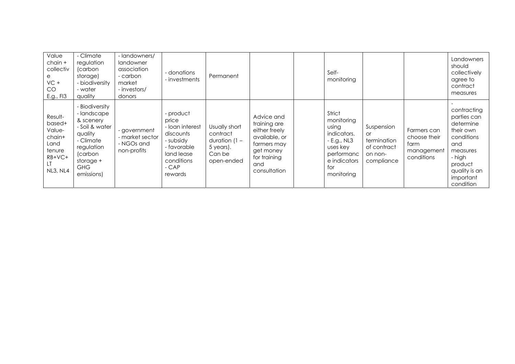| Value<br>chain +<br>collectiv<br>е<br>$VC +$<br>CO<br>E.g., FI3                 | - Climate<br>regulation<br>(carbon<br>storage)<br>- biodiversity<br>- water<br>auality                                                                   | - landowners/<br>landowner<br>association<br>- carbon<br>market<br>- investors/<br>donors | - donations<br>- investments                                                                                                  | Permanent                                                                         |                                                                                                                                 | Self-<br>monitoring                                                                                                        |                                                                                |                                                                 | Landowners<br>should<br>collectively<br>agree to<br>contract<br>measures                                                                              |
|---------------------------------------------------------------------------------|----------------------------------------------------------------------------------------------------------------------------------------------------------|-------------------------------------------------------------------------------------------|-------------------------------------------------------------------------------------------------------------------------------|-----------------------------------------------------------------------------------|---------------------------------------------------------------------------------------------------------------------------------|----------------------------------------------------------------------------------------------------------------------------|--------------------------------------------------------------------------------|-----------------------------------------------------------------|-------------------------------------------------------------------------------------------------------------------------------------------------------|
| Result-<br>based+<br>Value-<br>chain+<br>Land<br>tenure<br>$RB+VC+$<br>NL3, NL4 | - Biodiversity<br>- landscape<br>& scenery<br>- Soil & water<br>quality<br>- Climate<br>regulation<br>(carbon<br>storage $+$<br><b>GHG</b><br>emissions) | - government<br>- market sector<br>- NGOs and<br>non-profits                              | product<br>price<br>- Ioan interest<br>discounts<br>- subsidy<br>- favorable<br>land lease<br>conditions<br>$-CAP$<br>rewards | Usually short<br>contract<br>duration $(1 -$<br>5 years).<br>Can be<br>open-ended | Advice and<br>training are<br>either freely<br>available, or<br>farmers may<br>get money<br>for training<br>and<br>consultation | Strict<br>monitoring<br>using<br>indicators.<br>- E.g., NL3<br>uses key<br>performanc<br>e indicators<br>for<br>monitoring | Suspension<br><b>or</b><br>termination<br>of contract<br>on non-<br>compliance | Farmers can<br>choose their<br>farm<br>management<br>conditions | contracting<br>parties can<br>determine<br>their own<br>conditions<br>and<br>measures<br>- high<br>product<br>quality is an<br>important<br>condition |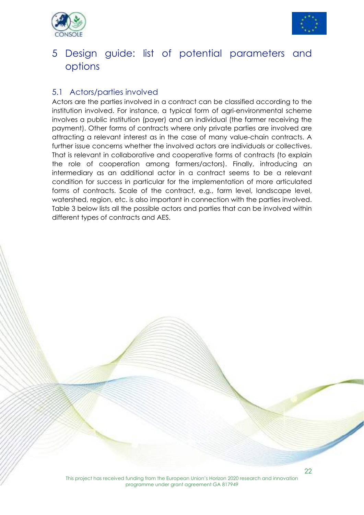



## 5 Design guide: list of potential parameters and options

#### 5.1 Actors/parties involved

Actors are the parties involved in a contract can be classified according to the institution involved. For instance, a typical form of agri-environmental scheme involves a public institution (payer) and an individual (the farmer receiving the payment). Other forms of contracts where only private parties are involved are attracting a relevant interest as in the case of many value-chain contracts. A further issue concerns whether the involved actors are individuals or collectives. That is relevant in collaborative and cooperative forms of contracts (to explain the role of cooperation among farmers/actors). Finally, introducing an intermediary as an additional actor in a contract seems to be a relevant condition for success in particular for the implementation of more articulated forms of contracts. Scale of the contract, e.g., farm level, landscape level, watershed, region, etc. is also important in connection with the parties involved. Table 3 below lists all the possible actors and parties that can be involved within different types of contracts and AES.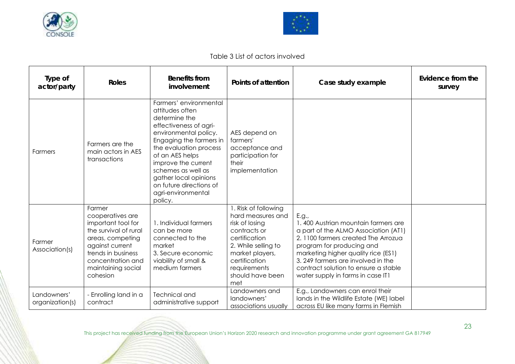



#### Table 3 List of actors involved

| Type of<br>actor/party         | <b>Roles</b>                                                                                                                                                                                  | <b>Benefits from</b><br>involvement                                                                                                                                                                                                                                                                                     | Points of attention                                                                                                                                                                                | Case study example                                                                                                                                                                                                                                                                                               | Evidence from the<br>survey |
|--------------------------------|-----------------------------------------------------------------------------------------------------------------------------------------------------------------------------------------------|-------------------------------------------------------------------------------------------------------------------------------------------------------------------------------------------------------------------------------------------------------------------------------------------------------------------------|----------------------------------------------------------------------------------------------------------------------------------------------------------------------------------------------------|------------------------------------------------------------------------------------------------------------------------------------------------------------------------------------------------------------------------------------------------------------------------------------------------------------------|-----------------------------|
| Farmers                        | Farmers are the<br>main actors in AES<br>transactions                                                                                                                                         | Farmers' environmental<br>attitudes often<br>determine the<br>effectiveness of agri-<br>environmental policy.<br>Engaging the farmers in<br>the evaluation process<br>of an AES helps<br>improve the current<br>schemes as well as<br>gather local opinions<br>on future directions of<br>agri-environmental<br>policy. | AES depend on<br>farmers'<br>acceptance and<br>participation for<br>their<br>implementation                                                                                                        |                                                                                                                                                                                                                                                                                                                  |                             |
| Farmer<br>Association(s)       | Farmer<br>cooperatives are<br>important tool for<br>the survival of rural<br>areas, competing<br>against current<br>trends in business<br>concentration and<br>maintaining social<br>cohesion | 1. Individual farmers<br>can be more<br>connected to the<br>market<br>3. Secure economic<br>viability of small &<br>medium farmers                                                                                                                                                                                      | I. Risk of following<br>hard measures and<br>risk of losing<br>contracts or<br>certification<br>2. While selling to<br>market players,<br>certification<br>requirements<br>should have been<br>met | E.g.,<br>1.400 Austrian mountain farmers are<br>a part of the ALMO Association (AT1)<br>2.1100 farmers created The Arrozua<br>program for producing and<br>marketing higher quality rice (ES1)<br>3.249 farmers are involved in the<br>contract solution to ensure a stable<br>water supply in farms in case IT1 |                             |
| Landowners'<br>organization(s) | - Enrolling land in a<br>contract                                                                                                                                                             | <b>Technical and</b><br>administrative support                                                                                                                                                                                                                                                                          | Landowners and<br>landowners'<br>associations usually                                                                                                                                              | E.g., Landowners can enrol their<br>lands in the Wildlife Estate (WE) label<br>across EU like many farms in Flemish                                                                                                                                                                                              |                             |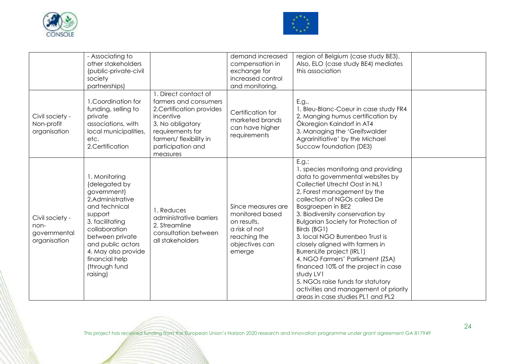



|                                                         | - Associating to<br>other stakeholders<br>(public-private-civil<br>society<br>partnerships)                                                                                                                                                     |                                                                                                                                                                                             | demand increased<br>compensation in<br>exchange for<br>increased control<br>and monitoring.                       | region of Belgium (case study BE3).<br>Also, ELO (case study BE4) mediates<br>this association                                                                                                                                                                                                                                                                                                                                                                                                                                                                                                                       |  |
|---------------------------------------------------------|-------------------------------------------------------------------------------------------------------------------------------------------------------------------------------------------------------------------------------------------------|---------------------------------------------------------------------------------------------------------------------------------------------------------------------------------------------|-------------------------------------------------------------------------------------------------------------------|----------------------------------------------------------------------------------------------------------------------------------------------------------------------------------------------------------------------------------------------------------------------------------------------------------------------------------------------------------------------------------------------------------------------------------------------------------------------------------------------------------------------------------------------------------------------------------------------------------------------|--|
| Civil society -<br>Non-profit<br>organisation           | 1. Coordination for<br>funding, selling to<br>private<br>associations, with<br>local municipalities,<br>etc.<br>2.Certification                                                                                                                 | 1. Direct contact of<br>farmers and consumers<br>2. Certification provides<br>incentive<br>3. No obligatory<br>requirements for<br>farmers/ flexibility in<br>participation and<br>measures | Certification for<br>marketed brands<br>can have higher<br>requirements                                           | E.g.,<br>1. Bleu-Blanc-Coeur in case study FR4<br>2. Manging humus certification by<br>Ökoregion Kaindorf in AT4<br>3. Managing the 'Greifswalder<br>Agrarinitiative' by the Michael<br>Succow foundation (DE3)                                                                                                                                                                                                                                                                                                                                                                                                      |  |
| Civil society -<br>non-<br>governmental<br>organisation | 1. Monitoring<br>(delegated by<br>government)<br>2.Administrative<br>and technical<br>support<br>3. facilitating<br>collaboration<br>between private<br>and public actors<br>4. May also provide<br>financial help<br>(through fund<br>raising) | 1. Reduces<br>administrative barriers<br>2. Streamline<br>consultation between<br>all stakeholders                                                                                          | Since measures are<br>monitored based<br>on results,<br>a risk of not<br>reaching the<br>objectives can<br>emerge | E.g.:<br>1. species monitoring and providing<br>data to governmental websites by<br>Collectief Utrecht Oost in NL1<br>2. Forest management by the<br>collection of NGOs called De<br>Bosgroepen in BE2<br>3. Biodiversity conservation by<br><b>Bulgarian Society for Protection of</b><br>Birds (BG1)<br>3. local NGO Burrenbeo Trust is<br>closely aligned with farmers in<br>BurrenLife project (IRL1)<br>4. NGO Farmers' Parliament (ZSA)<br>financed 10% of the project in case<br>study LV1<br>5. NGOs raise funds for statutory<br>activities and management of priority<br>areas in case studies PL1 and PL2 |  |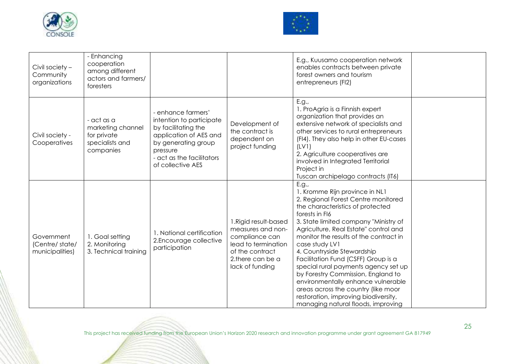



| Civil society -<br>Community<br>organizations   | - Enhancing<br>cooperation<br>among different<br>actors and farmers/<br>foresters |                                                                                                                                                                                      |                                                                                                                                               | E.g., Kuusamo cooperation network<br>enables contracts between private<br>forest owners and tourism<br>entrepreneurs (FI2)                                                                                                                                                                                                                                                                                                                                                                                                                                                                       |  |
|-------------------------------------------------|-----------------------------------------------------------------------------------|--------------------------------------------------------------------------------------------------------------------------------------------------------------------------------------|-----------------------------------------------------------------------------------------------------------------------------------------------|--------------------------------------------------------------------------------------------------------------------------------------------------------------------------------------------------------------------------------------------------------------------------------------------------------------------------------------------------------------------------------------------------------------------------------------------------------------------------------------------------------------------------------------------------------------------------------------------------|--|
| Civil society -<br>Cooperatives                 | - act as a<br>marketing channel<br>for private<br>specialists and<br>companies    | - enhance farmers'<br>intention to participate<br>by facilitating the<br>application of AES and<br>by generating group<br>pressure<br>- act as the facilitators<br>of collective AES | Development of<br>the contract is<br>dependent on<br>project funding                                                                          | E.g.,<br>1. ProAgria is a Finnish expert<br>organization that provides an<br>extensive network of specialists and<br>other services to rural entrepreneurs<br>(FI4). They also help in other EU-cases<br>(LVI)<br>2. Agriculture cooperatives are<br>involved in Integrated Territorial<br>Project in<br>Tuscan archipelago contracts (IT6)                                                                                                                                                                                                                                                      |  |
| Government<br>(Centre/state/<br>municipalities) | 1. Goal setting<br>2. Monitoring<br>3. Technical training                         | 1. National certification<br>2. Encourage collective<br>participation                                                                                                                | 1. Rigid result-based<br>measures and non-<br>compliance can<br>lead to termination<br>of the contract<br>2.there can be a<br>lack of funding | E.g.,<br>1. Kromme Rijn province in NL1<br>2. Regional Forest Centre monitored<br>the characteristics of protected<br>forests in FI6<br>3. State limited company "Ministry of<br>Agriculture, Real Estate" control and<br>monitor the results of the contract in<br>case study LV1<br>4. Countryside Stewardship<br>Facilitation Fund (CSFF) Group is a<br>special rural payments agency set up<br>by Forestry Commission, England to<br>environmentally enhance vulnerable<br>areas across the country (like moor<br>restoration, improving biodiversity,<br>managing natural floods, improving |  |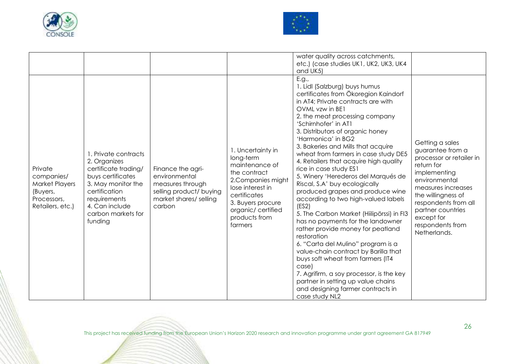



|                                                                                               |                                                                                                                                                                                             |                                                                                                                       |                                                                                                                                                                                                  | water quality across catchments,<br>etc.) (case studies UK1, UK2, UK3, UK4<br>and UK5)                                                                                                                                                                                                                                                                                                                                                                                                                                                                                                                                                                                                                                                                                                                                                                                                                                                                                               |                                                                                                                                                                                                                                                           |
|-----------------------------------------------------------------------------------------------|---------------------------------------------------------------------------------------------------------------------------------------------------------------------------------------------|-----------------------------------------------------------------------------------------------------------------------|--------------------------------------------------------------------------------------------------------------------------------------------------------------------------------------------------|--------------------------------------------------------------------------------------------------------------------------------------------------------------------------------------------------------------------------------------------------------------------------------------------------------------------------------------------------------------------------------------------------------------------------------------------------------------------------------------------------------------------------------------------------------------------------------------------------------------------------------------------------------------------------------------------------------------------------------------------------------------------------------------------------------------------------------------------------------------------------------------------------------------------------------------------------------------------------------------|-----------------------------------------------------------------------------------------------------------------------------------------------------------------------------------------------------------------------------------------------------------|
| Private<br>companies/<br><b>Market Players</b><br>(Buyers,<br>Processors,<br>Retailers, etc.) | 1. Private contracts<br>2. Organizes<br>certificate trading/<br>buys certificates<br>3. May monitor the<br>certification<br>requirements<br>4. Can include<br>carbon markets for<br>funding | Finance the agri-<br>environmental<br>measures through<br>selling product/ buying<br>market shares/ selling<br>carbon | 1. Uncertainty in<br>long-term<br>maintenance of<br>the contract<br>2. Companies might<br>lose interest in<br>certificates<br>3. Buyers procure<br>organic/certified<br>products from<br>farmers | E.g.,<br>1. Lidl (Salzburg) buys humus<br>certificates from Ökoregion Kaindorf<br>in AT4; Private contracts are with<br>OVML vzw in BE1<br>2. the meat processing company<br>'Schirnhofer' in AT1<br>3. Distributors of organic honey<br>'Harmonica' in BG2<br>3. Bakeries and Mills that acquire<br>wheat from farmers in case study DE5<br>4. Retailers that acquire high quality<br>rice in case study ES1<br>5. Winery 'Herederos del Marqués de<br>Riscal, S.A' buy ecologically<br>produced grapes and produce wine<br>according to two high-valued labels<br>(ES2)<br>5. The Carbon Market (Hiilipörssi) in FI3<br>has no payments for the landowner<br>rather provide money for peatland<br>restoration<br>6. "Carta del Mulino" program is a<br>value-chain contract by Barilla that<br>buys soft wheat from farmers (IT4<br>case)<br>7. Agrifirm, a soy processor, is the key<br>partner in setting up value chains<br>and designing farmer contracts in<br>case study NL2 | Getting a sales<br>guarantee from a<br>processor or retailer in<br>return for<br>implementing<br>environmental<br>measures increases<br>the willingness of<br>respondents from all<br>partner countries<br>except for<br>respondents from<br>Netherlands. |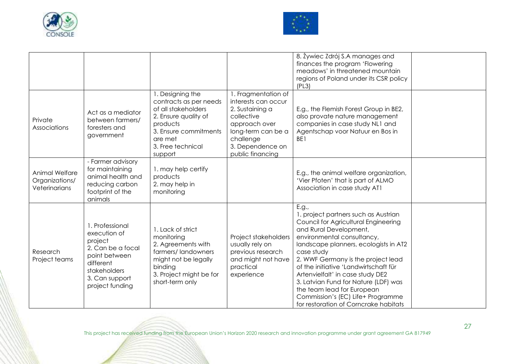



|                                                   |                                                                                                                                                    |                                                                                                                                                                           |                                                                                                                                                                         | 8. Żywiec Zdrój S.A manages and<br>finances the program 'Flowering<br>meadows' in threatened mountain<br>regions of Poland under its CSR policy<br>(PL3)                                                                                                                                                                                                                                                                                                                    |  |
|---------------------------------------------------|----------------------------------------------------------------------------------------------------------------------------------------------------|---------------------------------------------------------------------------------------------------------------------------------------------------------------------------|-------------------------------------------------------------------------------------------------------------------------------------------------------------------------|-----------------------------------------------------------------------------------------------------------------------------------------------------------------------------------------------------------------------------------------------------------------------------------------------------------------------------------------------------------------------------------------------------------------------------------------------------------------------------|--|
| Private<br>Associations                           | Act as a mediator<br>between farmers/<br>foresters and<br>government                                                                               | 1. Designing the<br>contracts as per needs<br>of all stakeholders<br>2. Ensure quality of<br>products<br>3. Ensure commitments<br>are met<br>3. Free technical<br>support | 1. Fragmentation of<br>interests can occur<br>2. Sustaining a<br>collective<br>approach over<br>long-term can be a<br>challenge<br>3. Dependence on<br>public financing | E.g., the Flemish Forest Group in BE2,<br>also provate nature management<br>companies in case study NL1 and<br>Agentschap voor Natuur en Bos in<br>BE1                                                                                                                                                                                                                                                                                                                      |  |
| Animal Welfare<br>Organizations/<br>Veterinarians | - Farmer advisory<br>for maintaining<br>animal health and<br>reducing carbon<br>footprint of the<br>animals                                        | 1. may help certify<br>products<br>2. may help in<br>monitoring                                                                                                           |                                                                                                                                                                         | E.g., the animal welfare organization,<br>'Vier Pfoten' that is part of ALMO<br>Association in case study AT1                                                                                                                                                                                                                                                                                                                                                               |  |
| Research<br>Project teams                         | 1. Professional<br>execution of<br>project<br>2. Can be a focal<br>point between<br>different<br>stakeholders<br>3. Can support<br>project funding | 1. Lack of strict<br>monitoring<br>2. Agreements with<br>farmers/landowners<br>might not be legally<br>binding<br>3. Project might be for<br>short-term only              | Project stakeholders<br>usually rely on<br>previous research<br>and might not have<br>practical<br>experience                                                           | E.g.,<br>1. project partners such as Austrian<br>Council for Agricultural Engineering<br>and Rural Development,<br>environmental consultancy,<br>landscape planners, ecologists in AT2<br>case study<br>2. WWF Germany is the project lead<br>of the initiative 'Landwirtschaft für<br>Artenvielfalt' in case study DE2<br>3. Latvian Fund for Nature (LDF) was<br>the team lead for European<br>Commission's (EC) Life+ Programme<br>for restoration of Corncrake habitats |  |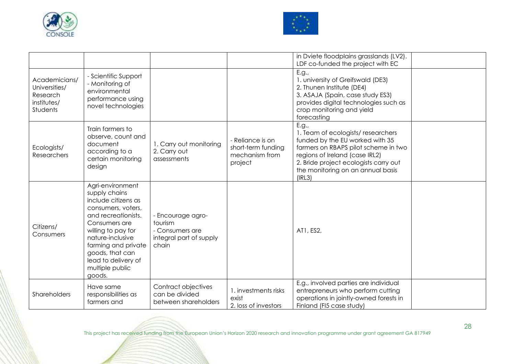



|                                                                       |                                                                                                                                                                                                                                                                |                                                                                     |                                                                     | in Dviete floodplains grasslands (LV2).<br>LDF co-funded the project with EC                                                                                                                                                                    |  |
|-----------------------------------------------------------------------|----------------------------------------------------------------------------------------------------------------------------------------------------------------------------------------------------------------------------------------------------------------|-------------------------------------------------------------------------------------|---------------------------------------------------------------------|-------------------------------------------------------------------------------------------------------------------------------------------------------------------------------------------------------------------------------------------------|--|
| Academicians/<br>Universities/<br>Research<br>institutes/<br>Students | - Scientific Support<br>- Monitoring of<br>environmental<br>performance using<br>novel technologies                                                                                                                                                            |                                                                                     |                                                                     | E.g.,<br>1. university of Greifswald (DE3)<br>2. Thunen Institute (DE4)<br>3. ASAJA (Spain, case study ES3)<br>provides digital technologies such as<br>crop monitoring and yield<br>forecasting                                                |  |
| Ecologists/<br>Researchers                                            | Train farmers to<br>observe, count and<br>document<br>according to a<br>certain monitoring<br>design                                                                                                                                                           | 1. Carry out monitoring<br>2. Carry out<br>assessments                              | - Reliance is on<br>short-term funding<br>mechanism from<br>project | E.g.,<br>1. Team of ecologists/researchers<br>funded by the EU worked with 35<br>farmers on RBAPS pilot scheme in two<br>regions of Ireland (case IRL2)<br>2. Bride project ecologists carry out<br>the monitoring on an annual basis<br>(IRL3) |  |
| Citizens/<br>Consumers                                                | Agri-environment<br>supply chains<br>include citizens as<br>consumers, voters,<br>and recreationists.<br>Consumers are<br>willing to pay for<br>nature-inclusive<br>farming and private<br>goods, that can<br>lead to delivery of<br>multiple public<br>goods. | - Encourage agro-<br>tourism<br>- Consumers are<br>integral part of supply<br>chain |                                                                     | AT1, ES2,                                                                                                                                                                                                                                       |  |
| Shareholders                                                          | Have same<br>responsibilities as<br>farmers and                                                                                                                                                                                                                | Contract objectives<br>can be divided<br>between shareholders                       | 1. investments risks<br>exist<br>2. loss of investors               | E.g., involved parties are individual<br>entrepreneurs who perform cutting<br>operations in jointly-owned forests in<br>Finland (FI5 case study)                                                                                                |  |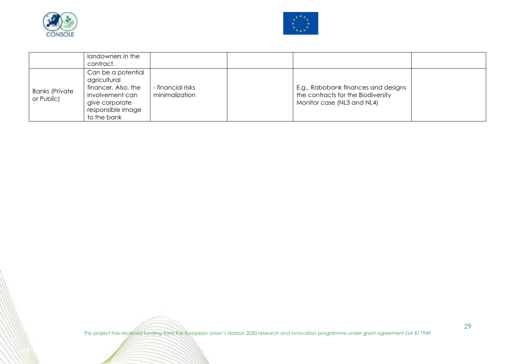



|                                     | landowners in the<br>contract.                                                                                                     |                                     |                                                                                                         |  |
|-------------------------------------|------------------------------------------------------------------------------------------------------------------------------------|-------------------------------------|---------------------------------------------------------------------------------------------------------|--|
| <b>Banks (Private</b><br>or Public) | Can be a potential<br>agricultural<br>financer. Also, the<br>involvement can<br>give corporate<br>responsible image<br>to the bank | - financial risks<br>minimalization | E.g., Rabobank finances and designs<br>the contracts for the Biodiversity<br>Monitor case (NL3 and NL4) |  |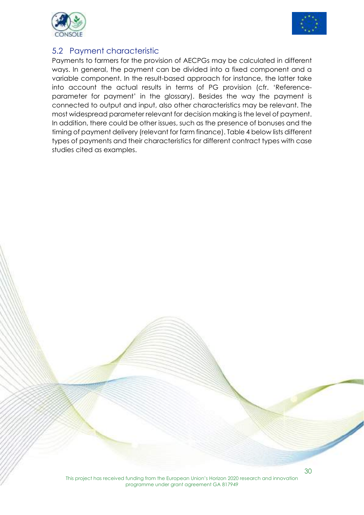



#### 5.2 Payment characteristic

Payments to farmers for the provision of AECPGs may be calculated in different ways. In general, the payment can be divided into a fixed component and a variable component. In the result-based approach for instance, the latter take into account the actual results in terms of PG provision (cfr. 'Referenceparameter for payment' in the glossary). Besides the way the payment is connected to output and input, also other characteristics may be relevant. The most widespread parameter relevant for decision making is the level of payment. In addition, there could be other issues, such as the presence of bonuses and the timing of payment delivery (relevant for farm finance). Table 4 below lists different types of payments and their characteristics for different contract types with case studies cited as examples.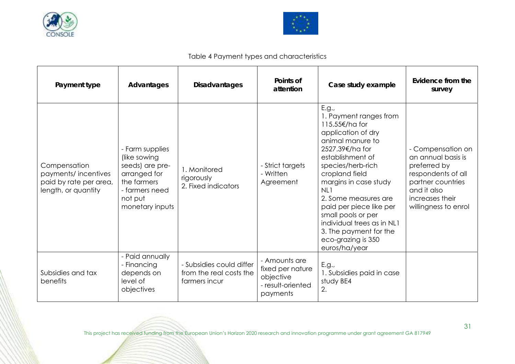



#### Table 4 Payment types and characteristics

| Payment type                                                                         | Advantages                                                                                                                        | <b>Disadvantages</b>                                                 | Points of<br>attention                                                          | Case study example                                                                                                                                                                                                                                                                                                                                                                | Evidence from the<br>survey                                                                                                                                  |
|--------------------------------------------------------------------------------------|-----------------------------------------------------------------------------------------------------------------------------------|----------------------------------------------------------------------|---------------------------------------------------------------------------------|-----------------------------------------------------------------------------------------------------------------------------------------------------------------------------------------------------------------------------------------------------------------------------------------------------------------------------------------------------------------------------------|--------------------------------------------------------------------------------------------------------------------------------------------------------------|
| Compensation<br>payments/incentives<br>paid by rate per area,<br>length, or quantity | - Farm supplies<br>(like sowing<br>seeds) are pre-<br>arranged for<br>the farmers<br>- farmers need<br>not put<br>monetary inputs | 1. Monitored<br>rigorously<br>2. Fixed indicators                    | - Strict targets<br>- Written<br>Agreement                                      | E.g.,<br>1. Payment ranges from<br>115.55€/ha for<br>application of dry<br>animal manure to<br>2527.39€/ha for<br>establishment of<br>species/herb-rich<br>cropland field<br>margins in case study<br>NL1<br>2. Some measures are<br>paid per piece like per<br>small pools or per<br>individual trees as in NL1<br>3. The payment for the<br>eco-grazing is 350<br>euros/ha/year | - Compensation on<br>an annual basis is<br>preferred by<br>respondents of all<br>partner countries<br>and it also<br>increases their<br>willingness to enrol |
| Subsidies and tax<br>benefits                                                        | - Paid annually<br>- Financing<br>depends on<br>level of<br>objectives                                                            | - Subsidies could differ<br>from the real costs the<br>farmers incur | - Amounts are<br>fixed per nature<br>objective<br>- result-oriented<br>payments | E.g.,<br>1. Subsidies paid in case<br>study BE4<br>2.                                                                                                                                                                                                                                                                                                                             |                                                                                                                                                              |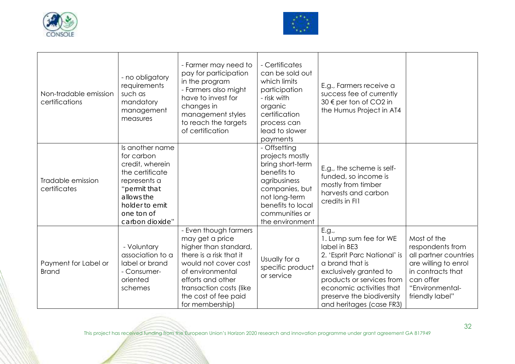



| Non-tradable emission<br>certifications | - no obligatory<br>requirements<br>such as<br>mandatory<br>management<br>measures                                                                                    | - Farmer may need to<br>pay for participation<br>in the program<br>- Farmers also might<br>have to invest for<br>changes in<br>management styles<br>to reach the targets<br>of certification                                        | - Certificates<br>can be sold out<br>which limits<br>participation<br>- risk with<br>organic<br>certification<br>process can<br>lead to slower<br>payments                      | E.g., Farmers receive a<br>success fee of currently<br>30 € per ton of CO2 in<br>the Humus Project in AT4                                                                                                                                      |                                                                                                                                                          |
|-----------------------------------------|----------------------------------------------------------------------------------------------------------------------------------------------------------------------|-------------------------------------------------------------------------------------------------------------------------------------------------------------------------------------------------------------------------------------|---------------------------------------------------------------------------------------------------------------------------------------------------------------------------------|------------------------------------------------------------------------------------------------------------------------------------------------------------------------------------------------------------------------------------------------|----------------------------------------------------------------------------------------------------------------------------------------------------------|
| Tradable emission<br>certificates       | Is another name<br>for carbon<br>credit, wherein<br>the certificate<br>represents a<br>"permit that<br>allows the<br>holder to emit<br>one ton of<br>carbon dioxide" |                                                                                                                                                                                                                                     | - Offsetting<br>projects mostly<br>bring short-term<br>benefits to<br>agribusiness<br>companies, but<br>not long-term<br>benefits to local<br>communities or<br>the environment | E.g., the scheme is self-<br>funded, so income is<br>mostly from timber<br>harvests and carbon<br>credits in FI1                                                                                                                               |                                                                                                                                                          |
| Payment for Label or<br><b>Brand</b>    | - Voluntary<br>association to a<br>label or brand<br>- Consumer-<br>oriented<br>schemes                                                                              | - Even though farmers<br>may get a price<br>higher than standard,<br>there is a risk that it<br>would not cover cost<br>of environmental<br>efforts and other<br>transaction costs (like<br>the cost of fee paid<br>for membership) | Usually for a<br>specific product<br>or service                                                                                                                                 | E.g.,<br>1. Lump sum fee for WE<br>label in BE3<br>2. 'Esprit Parc National' is<br>a brand that is<br>exclusively granted to<br>products or services from<br>economic activities that<br>preserve the biodiversity<br>and heritages (case FR3) | Most of the<br>respondents from<br>all partner countries<br>are willing to enrol<br>in contracts that<br>can offer<br>"Environmental-<br>friendly label" |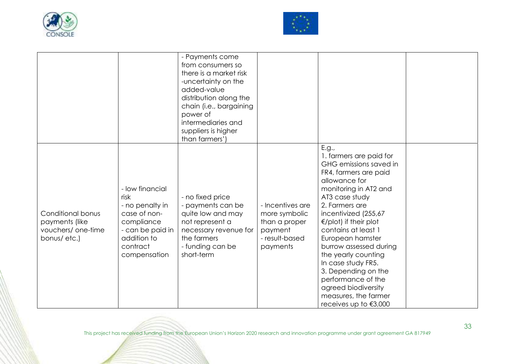



|                                                                          |                                                                                                                                         | - Payments come<br>from consumers so<br>there is a market risk<br>-uncertainty on the<br>added-value<br>distribution along the<br>chain (i.e., bargaining<br>power of<br>intermediaries and<br>suppliers is higher<br>than farmers') |                                                                                             | E.g.,                                                                                                                                                                                                                                                                                                                                                                                                                                                        |  |
|--------------------------------------------------------------------------|-----------------------------------------------------------------------------------------------------------------------------------------|--------------------------------------------------------------------------------------------------------------------------------------------------------------------------------------------------------------------------------------|---------------------------------------------------------------------------------------------|--------------------------------------------------------------------------------------------------------------------------------------------------------------------------------------------------------------------------------------------------------------------------------------------------------------------------------------------------------------------------------------------------------------------------------------------------------------|--|
| Conditional bonus<br>payments (like<br>vouchers/ one-time<br>bonus/etc.) | - low financial<br>risk<br>- no penalty in<br>case of non-<br>compliance<br>- can be paid in<br>addition to<br>contract<br>compensation | - no fixed price<br>- payments can be<br>quite low and may<br>not represent a<br>necessary revenue for<br>the farmers<br>- funding can be<br>short-term                                                                              | - Incentives are<br>more symbolic<br>than a proper<br>payment<br>- result-based<br>payments | 1. farmers are paid for<br>GHG emissions saved in<br>FR4, farmers are paid<br>allowance for<br>monitoring in AT2 and<br>AT3 case study<br>2. Farmers are<br>incentivized (255,67<br>$\epsilon$ /plot) if their plot<br>contains at least 1<br>European hamster<br>burrow assessed during<br>the yearly counting<br>In case study FR5.<br>3. Depending on the<br>performance of the<br>agreed biodiversity<br>measures, the farmer<br>receives up to $€3,000$ |  |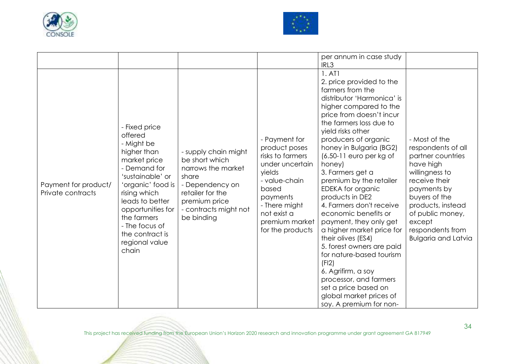



| Payment for product/<br>Private contracts | - Fixed price<br>offered<br>- Might be<br>higher than<br>market price<br>- Demand for<br>'sustainable' or<br>'organic' food is<br>rising which<br>leads to better<br>opportunities for<br>the farmers<br>- The focus of<br>the contract is<br>regional value<br>chain | - supply chain might<br>be short which<br>narrows the market<br>share<br>- Dependency on<br>retailer for the<br>premium price<br>- contracts might not<br>be binding | - Payment for<br>product poses<br>risks to farmers<br>under uncertain<br>yields<br>- value-chain<br>based<br>payments<br>- There might<br>not exist a<br>premium market<br>for the products | per annum in case study<br>IRL3<br>1. A <sub>T</sub> 1<br>2. price provided to the<br>farmers from the<br>distributor 'Harmonica' is<br>higher compared to the<br>price from doesn't incur<br>the farmers loss due to<br>yield risks other<br>producers of organic<br>honey in Bulgaria (BG2)<br>$(6.50-11$ euro per kg of<br>honey)<br>3. Farmers get a<br>premium by the retailer<br>EDEKA for organic<br>products in DE2<br>4. Farmers don't receive<br>economic benefits or<br>payment, they only get<br>a higher market price for<br>their olives (ES4)<br>5. forest owners are paid<br>for nature-based tourism<br>(F <sub>12</sub> )<br>6. Agrifirm, a soy<br>processor, and farmers<br>set a price based on | - Most of the<br>respondents of all<br>partner countries<br>have high<br>willingness to<br>receive their<br>payments by<br>buyers of the<br>products, instead<br>of public money,<br>except<br>respondents from<br><b>Bulgaria and Latvia</b> |
|-------------------------------------------|-----------------------------------------------------------------------------------------------------------------------------------------------------------------------------------------------------------------------------------------------------------------------|----------------------------------------------------------------------------------------------------------------------------------------------------------------------|---------------------------------------------------------------------------------------------------------------------------------------------------------------------------------------------|---------------------------------------------------------------------------------------------------------------------------------------------------------------------------------------------------------------------------------------------------------------------------------------------------------------------------------------------------------------------------------------------------------------------------------------------------------------------------------------------------------------------------------------------------------------------------------------------------------------------------------------------------------------------------------------------------------------------|-----------------------------------------------------------------------------------------------------------------------------------------------------------------------------------------------------------------------------------------------|
|                                           |                                                                                                                                                                                                                                                                       |                                                                                                                                                                      |                                                                                                                                                                                             | global market prices of<br>soy. A premium for non-                                                                                                                                                                                                                                                                                                                                                                                                                                                                                                                                                                                                                                                                  |                                                                                                                                                                                                                                               |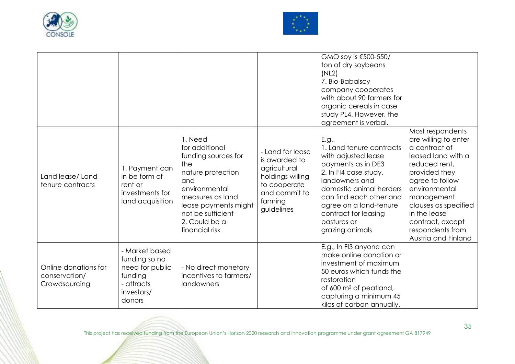



|                                                        |                                                                                                     |                                                                                                                                                                                                          |                                                                                                                                 | GMO soy is €500-550/<br>ton of dry soybeans<br>(NL2)<br>7. Bio-Babalscy<br>company cooperates<br>with about 90 farmers for<br>organic cereals in case<br>study PL4. However, the<br>agreement is verbal.                                                            |                                                                                                                                                                                                                                                                            |
|--------------------------------------------------------|-----------------------------------------------------------------------------------------------------|----------------------------------------------------------------------------------------------------------------------------------------------------------------------------------------------------------|---------------------------------------------------------------------------------------------------------------------------------|---------------------------------------------------------------------------------------------------------------------------------------------------------------------------------------------------------------------------------------------------------------------|----------------------------------------------------------------------------------------------------------------------------------------------------------------------------------------------------------------------------------------------------------------------------|
| Land lease/Land<br>tenure contracts                    | 1. Payment can<br>in be form of<br>rent or<br>investments for<br>land acquisition                   | 1. Need<br>for additional<br>funding sources for<br>the<br>nature protection<br>and<br>environmental<br>measures as land<br>lease payments might<br>not be sufficient<br>2. Could be a<br>financial risk | - Land for lease<br>is awarded to<br>agricultural<br>holdings willing<br>to cooperate<br>and commit to<br>farming<br>guidelines | E.g.,<br>1. Land tenure contracts<br>with adjusted lease<br>payments as in DE3<br>2. In FI4 case study,<br>landowners and<br>domestic animal herders<br>can find each other and<br>agree on a land-tenure<br>contract for leasing<br>pastures or<br>grazing animals | Most respondents<br>are willing to enter<br>a contract of<br>leased land with a<br>reduced rent,<br>provided they<br>agree to follow<br>environmental<br>management<br>clauses as specified<br>in the lease<br>contract, except<br>respondents from<br>Austria and Finland |
| Online donations for<br>conservation/<br>Crowdsourcing | - Market based<br>funding so no<br>need for public<br>funding<br>- attracts<br>investors/<br>donors | - No direct monetary<br>incentives to farmers/<br>landowners                                                                                                                                             |                                                                                                                                 | E.g., In FI3 anyone can<br>make online donation or<br>investment of maximum<br>50 euros which funds the<br>restoration<br>of 600 m <sup>2</sup> of peatland,<br>capturing a minimum 45<br>kilos of carbon annually.                                                 |                                                                                                                                                                                                                                                                            |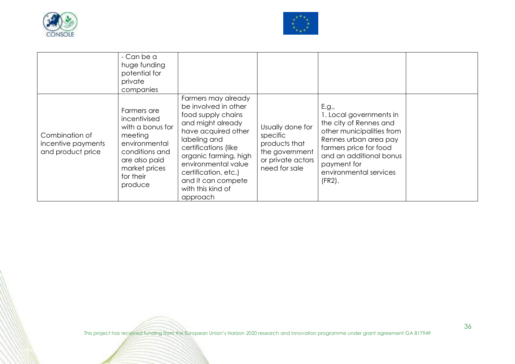



|                                                           | - Can be a<br>huge funding<br>potential for<br>private<br>companies                                                                                     |                                                                                                                                                                                                                                                                                      |                                                                                                       |                                                                                                                                                                                                                             |  |
|-----------------------------------------------------------|---------------------------------------------------------------------------------------------------------------------------------------------------------|--------------------------------------------------------------------------------------------------------------------------------------------------------------------------------------------------------------------------------------------------------------------------------------|-------------------------------------------------------------------------------------------------------|-----------------------------------------------------------------------------------------------------------------------------------------------------------------------------------------------------------------------------|--|
| Combination of<br>incentive payments<br>and product price | Farmers are<br>incentivised<br>with a bonus for<br>meeting<br>environmental<br>conditions and<br>are also paid<br>market prices<br>for their<br>produce | Farmers may already<br>be involved in other<br>food supply chains<br>and might already<br>have acquired other<br>labeling and<br>certifications (like<br>organic farming, high<br>environmental value<br>certification, etc.)<br>and it can compete<br>with this kind of<br>approach | Usually done for<br>specific<br>products that<br>the government<br>or private actors<br>need for sale | E.g.,<br>1. Local governments in<br>the city of Rennes and<br>other municipalities from<br>Rennes urban area pay<br>farmers price for food<br>and an additional bonus<br>payment for<br>environmental services<br>$(FR2)$ . |  |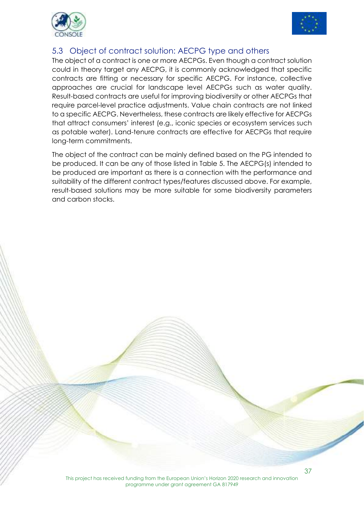



#### 5.3 Object of contract solution: AECPG type and others

The object of a contract is one or more AECPGs. Even though a contract solution could in theory target any AECPG, it is commonly acknowledged that specific contracts are fitting or necessary for specific AECPG. For instance, collective approaches are crucial for landscape level AECPGs such as water quality. Result-based contracts are useful for improving biodiversity or other AECPGs that require parcel-level practice adjustments. Value chain contracts are not linked to a specific AECPG. Nevertheless, these contracts are likely effective for AECPGs that attract consumers' interest (e.g., iconic species or ecosystem services such as potable water). Land-tenure contracts are effective for AECPGs that require long-term commitments.

The object of the contract can be mainly defined based on the PG intended to be produced. It can be any of those listed in Table 5. The AECPG(s) intended to be produced are important as there is a connection with the performance and suitability of the different contract types/features discussed above. For example, result-based solutions may be more suitable for some biodiversity parameters and carbon stocks.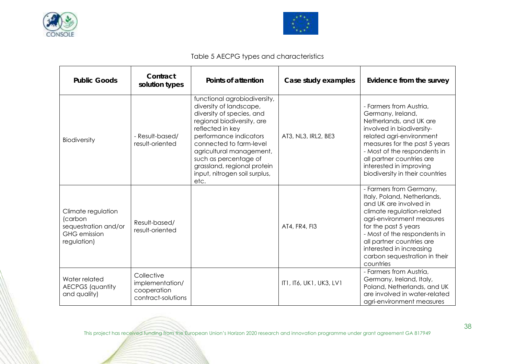



#### Table 5 AECPG types and characteristics

| <b>Public Goods</b>                                                                         | Contract<br>solution types                                         | Points of attention                                                                                                                                                                                                                                                                                                      | Case study examples     | Evidence from the survey                                                                                                                                                                                                                                                                                   |
|---------------------------------------------------------------------------------------------|--------------------------------------------------------------------|--------------------------------------------------------------------------------------------------------------------------------------------------------------------------------------------------------------------------------------------------------------------------------------------------------------------------|-------------------------|------------------------------------------------------------------------------------------------------------------------------------------------------------------------------------------------------------------------------------------------------------------------------------------------------------|
| <b>Biodiversity</b>                                                                         | - Result-based/<br>result-oriented                                 | functional agrobiodiversity,<br>diversity of landscape,<br>diversity of species, and<br>regional biodiversity, are<br>reflected in key<br>performance indicators<br>connected to farm-level<br>agricultural management,<br>such as percentage of<br>grassland, regional protein<br>input, nitrogen soil surplus,<br>etc. | AT3, NL3, IRL2, BE3     | - Farmers from Austria,<br>Germany, Ireland,<br>Netherlands, and UK are<br>involved in biodiversity-<br>related agri-environment<br>measures for the past 5 years<br>- Most of the respondents in<br>all partner countries are<br>interested in improving<br>biodiversity in their countries               |
| Climate regulation<br>(carbon<br>sequestration and/or<br><b>GHG</b> emission<br>regulation) | Result-based/<br>result-oriented                                   |                                                                                                                                                                                                                                                                                                                          | AT4, FR4, FI3           | - Farmers from Germany,<br>Italy, Poland, Netherlands,<br>and UK are involved in<br>climate regulation-related<br>agri-environment measures<br>for the past 5 years<br>- Most of the respondents in<br>all partner countries are<br>interested in increasing<br>carbon sequestration in their<br>countries |
| Water related<br><b>AECPGS</b> (quantity<br>and quality)                                    | Collective<br>implementation/<br>cooperation<br>contract-solutions |                                                                                                                                                                                                                                                                                                                          | IT1, IT6, UK1, UK3, LV1 | - Farmers from Austria,<br>Germany, Ireland, Italy,<br>Poland, Netherlands, and UK<br>are involved in water-related<br>agri-environment measures                                                                                                                                                           |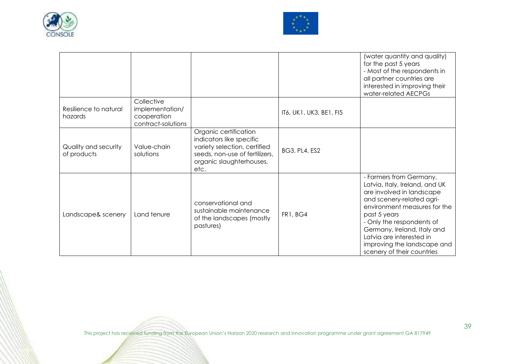



|                                     |                                                                    |                                                                                                                                                         |                         | (water quantity and quality)<br>for the past 5 years<br>- Most of the respondents in<br>all partner countries are<br>interested in improving their<br>water-related AECPGs                                                                                                                                               |
|-------------------------------------|--------------------------------------------------------------------|---------------------------------------------------------------------------------------------------------------------------------------------------------|-------------------------|--------------------------------------------------------------------------------------------------------------------------------------------------------------------------------------------------------------------------------------------------------------------------------------------------------------------------|
| Resilience to natural<br>hazards    | Collective<br>implementation/<br>cooperation<br>contract-solutions |                                                                                                                                                         | IT6, UK1, UK3, BE1, FI5 |                                                                                                                                                                                                                                                                                                                          |
| Quality and security<br>of products | Value-chain<br>solutions                                           | Organic certification<br>indicators like specific<br>variety selection, certified<br>seeds, non-use of fertilizers,<br>organic slaughterhouses,<br>etc. | <b>BG3, PL4, ES2</b>    |                                                                                                                                                                                                                                                                                                                          |
| Landscape& scenery                  | Land tenure                                                        | conservational and<br>sustainable maintenance<br>of the landscapes (mostly<br>pastures)                                                                 | FR1, BG4                | - Farmers from Germany,<br>Latvia, Italy, Ireland, and UK<br>are involved in landscape<br>and scenery-related agri-<br>environment measures for the<br>past 5 years<br>- Only the respondents of<br>Germany, Ireland, Italy and<br>Latvia are interested in<br>improving the landscape and<br>scenery of their countries |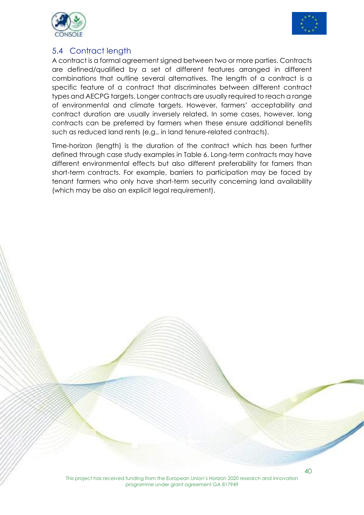



#### 5.4 Contract length

A contract is a formal agreement signed between two or more parties. Contracts are defined/qualified by a set of different features arranged in different combinations that outline several alternatives. The length of a contract is a specific feature of a contract that discriminates between different contract types and AECPG targets. Longer contracts are usually required to reach a range of environmental and climate targets. However, farmers' acceptability and contract duration are usually inversely related. In some cases, however, long contracts can be preferred by farmers when these ensure additional benefits such as reduced land rents (e.g., in land tenure-related contracts).

Time-horizon (length) is the duration of the contract which has been further defined through case study examples in Table 6. Long-term contracts may have different environmental effects but also different preferability for famers than short-term contracts. For example, barriers to participation may be faced by tenant farmers who only have short-term security concerning land availability (which may be also an explicit legal requirement).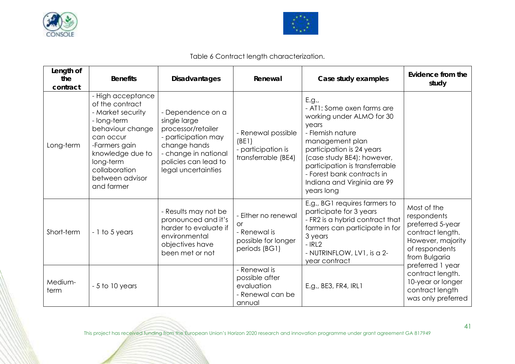



Table 6 Contract length characterization.

| Length of<br>the<br>contract | <b>Benefits</b>                                                                                                                                                                                               | <b>Disadvantages</b>                                                                                                                                                  | Renewal                                                                                  | Case study examples                                                                                                                                                                                                                                                                      | Evidence from the<br>study                                                                                                 |
|------------------------------|---------------------------------------------------------------------------------------------------------------------------------------------------------------------------------------------------------------|-----------------------------------------------------------------------------------------------------------------------------------------------------------------------|------------------------------------------------------------------------------------------|------------------------------------------------------------------------------------------------------------------------------------------------------------------------------------------------------------------------------------------------------------------------------------------|----------------------------------------------------------------------------------------------------------------------------|
| Long-term                    | - High acceptance<br>of the contract<br>- Market security<br>- long-term<br>behaviour change<br>can occur<br>-Farmers gain<br>knowledge due to<br>long-term<br>collaboration<br>between advisor<br>and farmer | - Dependence on a<br>single large<br>processor/retailer<br>- participation may<br>change hands<br>- change in national<br>policies can lead to<br>legal uncertainties | - Renewal possible<br>(BE1)<br>- participation is<br>transferrable (BE4)                 | E.g.,<br>- AT1: Some oxen farms are<br>working under ALMO for 30<br>years<br>- Flemish nature<br>management plan<br>participation is 24 years<br>(case study BE4); however,<br>participation is transferrable<br>- Forest bank contracts in<br>Indiana and Virginia are 99<br>years long |                                                                                                                            |
| Short-term                   | - 1 to 5 years                                                                                                                                                                                                | - Results may not be<br>pronounced and it's<br>harder to evaluate if<br>environmental<br>objectives have<br>been met or not                                           | - Either no renewal<br><b>or</b><br>- Renewal is<br>possible for longer<br>periods (BG1) | E.g., BG1 requires farmers to<br>participate for 3 years<br>- FR2 is a hybrid contract that<br>farmers can participate in for<br>3 years<br>$-$ IRL2<br>- NUTRINFLOW, LV1, is a 2-<br>year contract                                                                                      | Most of the<br>respondents<br>preferred 5-year<br>contract length.<br>However, majority<br>of respondents<br>from Bulgaria |
| Medium-<br>term              | $-5$ to 10 years                                                                                                                                                                                              |                                                                                                                                                                       | - Renewal is<br>possible after<br>evaluation<br>- Renewal can be<br>annual               | E.g., BE3, FR4, IRL1                                                                                                                                                                                                                                                                     | preferred 1 year<br>contract length.<br>10-year or longer<br>contract length<br>was only preferred                         |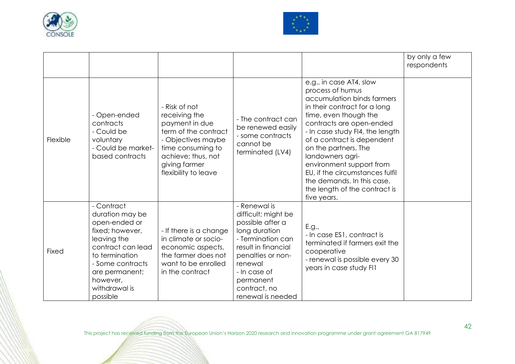



|          |                                                                                                                                                                                                        |                                                                                                                                                                                    |                                                                                                                                                                                                                        |                                                                                                                                                                                                                                                                                                                                                                                                                          | by only a few<br>respondents |
|----------|--------------------------------------------------------------------------------------------------------------------------------------------------------------------------------------------------------|------------------------------------------------------------------------------------------------------------------------------------------------------------------------------------|------------------------------------------------------------------------------------------------------------------------------------------------------------------------------------------------------------------------|--------------------------------------------------------------------------------------------------------------------------------------------------------------------------------------------------------------------------------------------------------------------------------------------------------------------------------------------------------------------------------------------------------------------------|------------------------------|
| Flexible | - Open-ended<br>contracts<br>- Could be<br>voluntary<br>- Could be market-<br>based contracts                                                                                                          | - Risk of not<br>receiving the<br>payment in due<br>term of the contract<br>- Objectives maybe<br>time consuming to<br>achieve; thus, not<br>giving farmer<br>flexibility to leave | - The contract can<br>be renewed easily<br>- some contracts<br>cannot be<br>terminated (LV4)                                                                                                                           | e.g., in case AT4, slow<br>process of humus<br>accumulation binds farmers<br>in their contract for a long<br>time, even though the<br>contracts are open-ended<br>- In case study FI4, the length<br>of a contract is dependent<br>on the partners. The<br>landowners agri-<br>environment support from<br>EU, if the circumstances fulfil<br>the demands. In this case,<br>the length of the contract is<br>five years. |                              |
| Fixed    | - Contract<br>duration may be<br>open-ended or<br>fixed; however,<br>leaving the<br>contract can lead<br>to termination<br>- Some contracts<br>are permanent;<br>however,<br>withdrawal is<br>possible | - If there is a change<br>in climate or socio-<br>economic aspects,<br>the farmer does not<br>want to be enrolled<br>in the contract                                               | - Renewal is<br>difficult; might be<br>possible after a<br>long duration<br>- Termination can<br>result in financial<br>penalties or non-<br>renewal<br>- In case of<br>permanent<br>contract, no<br>renewal is needed | E.g.,<br>- In case ES1, contract is<br>terminated if farmers exit the<br>cooperative<br>- renewal is possible every 30<br>years in case study FI1                                                                                                                                                                                                                                                                        |                              |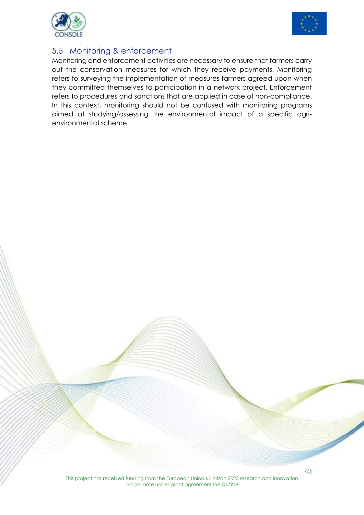



#### 5.5 Monitoring & enforcement

Monitoring and enforcement activities are necessary to ensure that farmers carry out the conservation measures for which they receive payments. Monitoring refers to surveying the implementation of measures farmers agreed upon when they committed themselves to participation in a network project. Enforcement refers to procedures and sanctions that are applied in case of non-compliance. In this context, monitoring should not be confused with monitoring programs aimed at studying/assessing the environmental impact of a specific agrienvironmental scheme.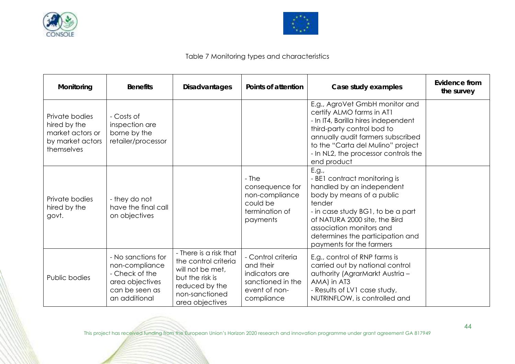



#### Table 7 Monitoring types and characteristics

| Monitoring                                                                           | <b>Benefits</b>                                                                                              | <b>Disadvantages</b>                                                                                                                         | Points of attention                                                                                   | Case study examples                                                                                                                                                                                                                                                         | Evidence from<br>the survey |
|--------------------------------------------------------------------------------------|--------------------------------------------------------------------------------------------------------------|----------------------------------------------------------------------------------------------------------------------------------------------|-------------------------------------------------------------------------------------------------------|-----------------------------------------------------------------------------------------------------------------------------------------------------------------------------------------------------------------------------------------------------------------------------|-----------------------------|
| Private bodies<br>hired by the<br>market actors or<br>by market actors<br>themselves | - Costs of<br>inspection are<br>borne by the<br>retailer/processor                                           |                                                                                                                                              |                                                                                                       | E.g., AgroVet GmbH monitor and<br>certify ALMO farms in AT1<br>- In IT4, Barilla hires independent<br>third-party control bod to<br>annually audit farmers subscribed<br>to the "Carta del Mulino" project<br>- In NL2, the processor controls the<br>end product           |                             |
| Private bodies<br>hired by the<br>govt.                                              | - they do not<br>have the final call<br>on objectives                                                        |                                                                                                                                              | - The<br>consequence for<br>non-compliance<br>could be<br>termination of<br>payments                  | E.g.,<br>- BE1 contract monitoring is<br>handled by an independent<br>body by means of a public<br>tender<br>- in case study BG1, to be a part<br>of NATURA 2000 site, the Bird<br>association monitors and<br>determines the participation and<br>payments for the farmers |                             |
| Public bodies                                                                        | - No sanctions for<br>non-compliance<br>- Check of the<br>area objectives<br>can be seen as<br>an additional | - There is a risk that<br>the control criteria<br>will not be met,<br>but the risk is<br>reduced by the<br>non-sanctioned<br>area objectives | - Control criteria<br>and their<br>indicators are<br>sanctioned in the<br>event of non-<br>compliance | E.g., control of RNP farms is<br>carried out by national control<br>authority (AgrarMarkt Austria -<br>AMA) in AT3<br>- Results of LV1 case study,<br>NUTRINFLOW, is controlled and                                                                                         |                             |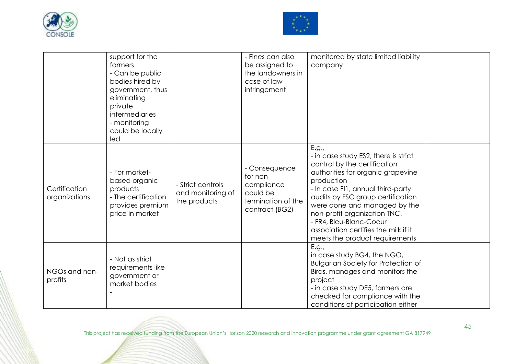



|                                | support for the<br>farmers<br>- Can be public<br>bodies hired by<br>government, thus<br>eliminating<br>private<br>intermediaries<br>- monitoring<br>could be locally<br>led |                                                        | - Fines can also<br>be assigned to<br>the landowners in<br>case of law<br>infringement      | monitored by state limited liability<br>company                                                                                                                                                                                                                                                                                                                                 |  |
|--------------------------------|-----------------------------------------------------------------------------------------------------------------------------------------------------------------------------|--------------------------------------------------------|---------------------------------------------------------------------------------------------|---------------------------------------------------------------------------------------------------------------------------------------------------------------------------------------------------------------------------------------------------------------------------------------------------------------------------------------------------------------------------------|--|
| Certification<br>organizations | - For market-<br>based organic<br>products<br>- The certification<br>provides premium<br>price in market                                                                    | - Strict controls<br>and monitoring of<br>the products | - Consequence<br>for non-<br>compliance<br>could be<br>termination of the<br>contract (BG2) | E.g.,<br>- in case study ES2, there is strict<br>control by the certification<br>authorities for organic grapevine<br>production<br>- In case FI1, annual third-party<br>audits by FSC group certification<br>were done and managed by the<br>non-profit organization TNC.<br>- FR4, Bleu-Blanc-Coeur<br>association certifies the milk if it<br>meets the product requirements |  |
| NGOs and non-<br>profits       | - Not as strict<br>requirements like<br>government or<br>market bodies                                                                                                      |                                                        |                                                                                             | E.g.,<br>in case study BG4, the NGO,<br><b>Bulgarian Society for Protection of</b><br>Birds, manages and monitors the<br>project<br>- in case study DE5, farmers are<br>checked for compliance with the<br>conditions of participation either                                                                                                                                   |  |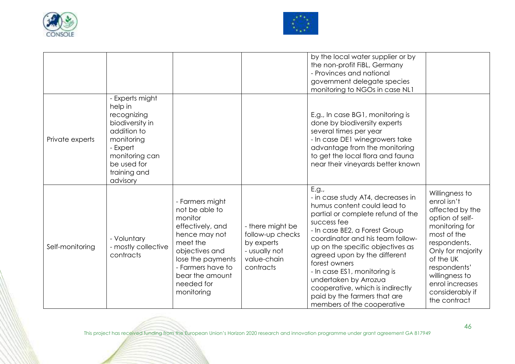



|                 |                                                                                                                                                                    |                                                                                                                                                                                                          |                                                                                                 | by the local water supplier or by<br>the non-profit FiBL, Germany<br>- Provinces and national<br>government delegate species<br>monitoring to NGOs in case NL1                                                                                                                                                                                                                                                                                     |                                                                                                                                                                                                                                                |
|-----------------|--------------------------------------------------------------------------------------------------------------------------------------------------------------------|----------------------------------------------------------------------------------------------------------------------------------------------------------------------------------------------------------|-------------------------------------------------------------------------------------------------|----------------------------------------------------------------------------------------------------------------------------------------------------------------------------------------------------------------------------------------------------------------------------------------------------------------------------------------------------------------------------------------------------------------------------------------------------|------------------------------------------------------------------------------------------------------------------------------------------------------------------------------------------------------------------------------------------------|
| Private experts | - Experts might<br>help in<br>recognizing<br>biodiversity in<br>addition to<br>monitoring<br>- Expert<br>monitoring can<br>be used for<br>training and<br>advisory |                                                                                                                                                                                                          |                                                                                                 | E.g., In case BG1, monitoring is<br>done by biodiversity experts<br>several times per year<br>- In case DE1 winegrowers take<br>advantage from the monitoring<br>to get the local flora and fauna<br>near their vineyards better known                                                                                                                                                                                                             |                                                                                                                                                                                                                                                |
| Self-monitoring | - Voluntary<br>- mostly collective<br>contracts                                                                                                                    | - Farmers might<br>not be able to<br>monitor<br>effectively, and<br>hence may not<br>meet the<br>objectives and<br>lose the payments<br>- Farmers have to<br>bear the amount<br>needed for<br>monitoring | - there might be<br>follow-up checks<br>by experts<br>- usually not<br>value-chain<br>contracts | E.g.,<br>- in case study AT4, decreases in<br>humus content could lead to<br>partial or complete refund of the<br>success fee<br>- In case BE2, a Forest Group<br>coordinator and his team follow-<br>up on the specific objectives as<br>agreed upon by the different<br>forest owners<br>- In case ES1, monitoring is<br>undertaken by Arrozua<br>cooperative, which is indirectly<br>paid by the farmers that are<br>members of the cooperative | Willingness to<br>enrol isn't<br>affected by the<br>option of self-<br>monitoring for<br>most of the<br>respondents.<br>Only for majority<br>of the UK<br>respondents'<br>willingness to<br>enrol increases<br>considerably if<br>the contract |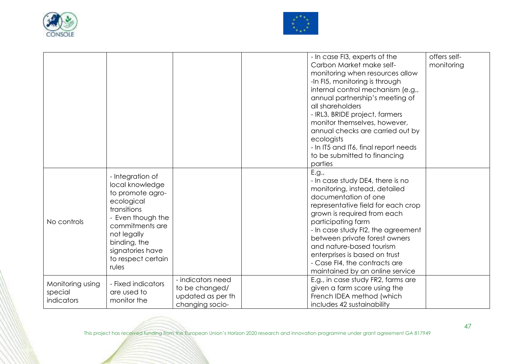



|                                           |                                                                                                                                                                                                                |                                                                             | - In case FI3, experts of the<br>Carbon Market make self-<br>monitoring when resources allow<br>-In FI5, monitoring is through<br>internal control mechanism (e.g.,<br>annual partnership's meeting of<br>all shareholders<br>- IRL3, BRIDE project, farmers<br>monitor themselves, however,<br>annual checks are carried out by<br>ecologists<br>- In IT5 and IT6, final report needs<br>to be submitted to financing<br>parties | offers self-<br>monitoring |
|-------------------------------------------|----------------------------------------------------------------------------------------------------------------------------------------------------------------------------------------------------------------|-----------------------------------------------------------------------------|-----------------------------------------------------------------------------------------------------------------------------------------------------------------------------------------------------------------------------------------------------------------------------------------------------------------------------------------------------------------------------------------------------------------------------------|----------------------------|
| No controls                               | - Integration of<br>local knowledge<br>to promote agro-<br>ecological<br>transitions<br>- Even though the<br>commitments are<br>not legally<br>binding, the<br>signatories have<br>to respect certain<br>rules |                                                                             | E.g.,<br>- In case study DE4, there is no<br>monitoring, instead, detailed<br>documentation of one<br>representative field for each crop<br>grown is required from each<br>participating farm<br>- In case study FI2, the agreement<br>between private forest owners<br>and nature-based tourism<br>enterprises is based on trust<br>- Case FI4, the contracts are<br>maintained by an online service                             |                            |
| Monitoring using<br>special<br>indicators | - Fixed indicators<br>are used to<br>monitor the                                                                                                                                                               | - indicators need<br>to be changed/<br>updated as per th<br>changing socio- | E.g., in case study FR2, farms are<br>given a farm score using the<br>French IDEA method (which<br>includes 42 sustainability                                                                                                                                                                                                                                                                                                     |                            |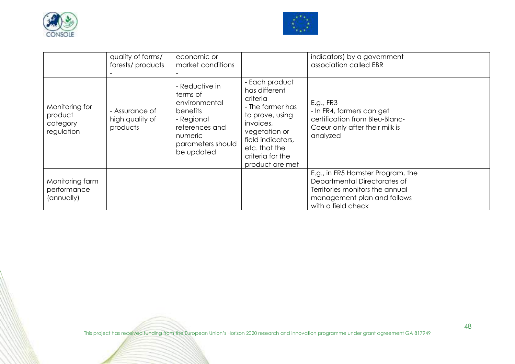



|                                                     | quality of farms/<br>forests/products         | economic or<br>market conditions                                                                                                      |                                                                                                                                                                                               | indicators) by a government<br>association called EBR                                                                                                     |  |
|-----------------------------------------------------|-----------------------------------------------|---------------------------------------------------------------------------------------------------------------------------------------|-----------------------------------------------------------------------------------------------------------------------------------------------------------------------------------------------|-----------------------------------------------------------------------------------------------------------------------------------------------------------|--|
| Monitoring for<br>product<br>category<br>regulation | - Assurance of<br>high quality of<br>products | - Reductive in<br>terms of<br>environmental<br>benefits<br>- Regional<br>references and<br>numeric<br>parameters should<br>be updated | - Each product<br>has different<br>criteria<br>- The farmer has<br>to prove, using<br>invoices,<br>vegetation or<br>field indicators,<br>etc. that the<br>criteria for the<br>product are met | E.g., FR3<br>- In FR4, farmers can get<br>certification from Bleu-Blanc-<br>Coeur only after their milk is<br>analyzed                                    |  |
| Monitoring farm<br>performance<br>(annually)        |                                               |                                                                                                                                       |                                                                                                                                                                                               | E.g., in FR5 Hamster Program, the<br>Departmental Directorates of<br>Territories monitors the annual<br>management plan and follows<br>with a field check |  |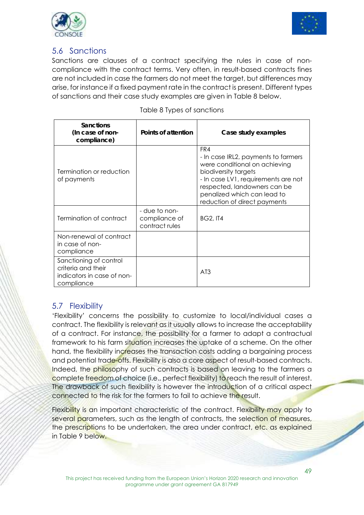



#### 5.6 Sanctions

Sanctions are clauses of a contract specifying the rules in case of noncompliance with the contract terms. Very often, in result-based contracts fines are not included in case the farmers do not meet the target, but differences may arise, for instance if a fixed payment rate in the contract is present. Different types of sanctions and their case study examples are given in Table 8 below.

| <b>Sanctions</b><br>(In case of non-<br>compliance)                                      | Points of attention                              | Case study examples                                                                                                                                                                                                                       |
|------------------------------------------------------------------------------------------|--------------------------------------------------|-------------------------------------------------------------------------------------------------------------------------------------------------------------------------------------------------------------------------------------------|
| Termination or reduction<br>of payments                                                  |                                                  | FR4<br>- In case IRL2, payments to farmers<br>were conditional on achieving<br>biodiversity targets<br>- In case LV1, requirements are not<br>respected, landowners can be<br>penalized which can lead to<br>reduction of direct payments |
| Termination of contract                                                                  | - due to non-<br>compliance of<br>contract rules | <b>BG2, IT4</b>                                                                                                                                                                                                                           |
| Non-renewal of contract<br>in case of non-<br>compliance                                 |                                                  |                                                                                                                                                                                                                                           |
| Sanctioning of control<br>criteria and their<br>indicators in case of non-<br>compliance |                                                  | A <sub>T</sub> 3                                                                                                                                                                                                                          |

#### 5.7 Flexibility

'Flexibility' concerns the possibility to customize to local/individual cases a contract. The flexibility is relevant as it usually allows to increase the acceptability of a contract. For instance, the possibility for a farmer to adapt a contractual framework to his farm situation increases the uptake of a scheme. On the other hand, the flexibility increases the transaction costs adding a bargaining process and potential trade-offs. Flexibility is also a core aspect of result-based contracts. Indeed, the philosophy of such contracts is based on leaving to the farmers a complete freedom of choice (i.e., perfect flexibility) to reach the result of interest. The drawback of such flexibility is however the introduction of a critical aspect connected to the risk for the farmers to fail to achieve the result.

Flexibility is an important characteristic of the contract. Flexibility may apply to several parameters, such as the length of contracts, the selection of measures, the prescriptions to be undertaken, the area under contract, etc. as explained in Table 9 below.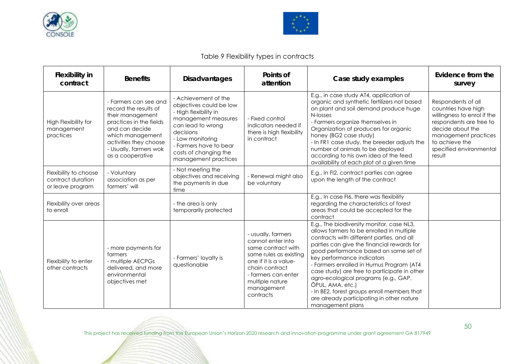



#### Table 9 Flexibility types in contracts

| <b>Flexibility in</b><br>contract                              | <b>Benefits</b>                                                                                                                                                                                             | <b>Disadvantages</b>                                                                                                                                                                                                             | Points of<br>attention                                                                                                                                                                                  | Case study examples                                                                                                                                                                                                                                                                                                                                                                                                                                                                                                              | Evidence from the<br>survey                                                                                                                                                                            |
|----------------------------------------------------------------|-------------------------------------------------------------------------------------------------------------------------------------------------------------------------------------------------------------|----------------------------------------------------------------------------------------------------------------------------------------------------------------------------------------------------------------------------------|---------------------------------------------------------------------------------------------------------------------------------------------------------------------------------------------------------|----------------------------------------------------------------------------------------------------------------------------------------------------------------------------------------------------------------------------------------------------------------------------------------------------------------------------------------------------------------------------------------------------------------------------------------------------------------------------------------------------------------------------------|--------------------------------------------------------------------------------------------------------------------------------------------------------------------------------------------------------|
| High Flexibility for<br>management<br>practices                | - Farmers can see and<br>record the results of<br>their management<br>practices in the fields<br>and can decide<br>which management<br>activities they choose<br>- Usually, farmers wok<br>as a cooperative | - Achievement of the<br>objectives could be low<br>- High flexibility in<br>management measures<br>can lead to wrong<br>decisions<br>- Low monitoring<br>- Farmers have to bear<br>costs of changing the<br>management practices | - Fixed control<br>indicators needed if<br>there is high flexibility<br>in contract                                                                                                                     | E.g., in case study AT4, application of<br>organic and synthetic fertilizers not based<br>on plant and soil demand produce huge<br>N-losses<br>- Farmers organize themselves in<br>Organization of producers for organic<br>honey (BG2 case study)<br>- In FR1 case study, the breeder adjusts the<br>number of animals to be deployed<br>according to his own idea of the feed<br>availability of each plot at a given time                                                                                                     | Respondents of all<br>countries have high<br>willingness to enrol if the<br>respondents are free to<br>decide about the<br>management practices<br>to achieve the<br>specified environmental<br>result |
| Flexibility to choose<br>contract duration<br>or leave program | - Voluntary<br>association as per<br>farmers' will                                                                                                                                                          | - Not meeting the<br>objectives and receiving<br>the payments in due<br>time                                                                                                                                                     | - Renewal might also<br>be voluntary                                                                                                                                                                    | E.g., In FI2, contract parties can agree<br>upon the length of the contract                                                                                                                                                                                                                                                                                                                                                                                                                                                      |                                                                                                                                                                                                        |
| Flexibility over areas<br>to enroll                            |                                                                                                                                                                                                             | - the area is only<br>temporarily protected                                                                                                                                                                                      |                                                                                                                                                                                                         | E.g., In case FI6, there was flexibility<br>regarding the characteristics of forest<br>areas that could be accepted for the<br>contract                                                                                                                                                                                                                                                                                                                                                                                          |                                                                                                                                                                                                        |
| Flexibility to enter<br>other contracts                        | - more payments for<br>farmers<br>- multiple AECPGs<br>delivered, and more<br>environmental<br>objectives met                                                                                               | - Farmers' loyalty is<br>questionable                                                                                                                                                                                            | - usually, farmers<br>cannot enter into<br>same contract with<br>same rules as existing<br>one if it is a value-<br>chain contract<br>- farmers can enter<br>multiple nature<br>management<br>contracts | E.g., The biodiversity monitor, case NL3,<br>allows farmers to be enrolled in multiple<br>contracts with different parties, and all<br>parties can give the financial rewards for<br>good performance based on same set of<br>key performance indicators<br>- Farmers enrolled in Humus Program (AT4<br>case study) are free to participate in other<br>agro-ecological programs (e.g., GAP,<br>ÖPUL, AMA, etc.)<br>- In BE2, forest groups enroll members that<br>are already participating in other nature<br>management plans |                                                                                                                                                                                                        |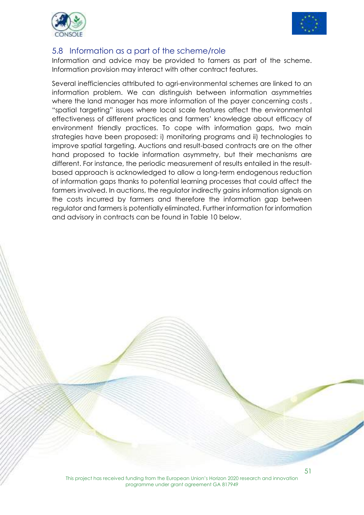



#### 5.8 Information as a part of the scheme/role

Information and advice may be provided to famers as part of the scheme. Information provision may interact with other contract features.

Several inefficiencies attributed to agri-environmental schemes are linked to an information problem. We can distinguish between information asymmetries where the land manager has more information of the payer concerning costs, "spatial targeting" issues where local scale features affect the environmental effectiveness of different practices and farmers' knowledge about efficacy of environment friendly practices. To cope with information gaps, two main strategies have been proposed: i) monitoring programs and ii) technologies to improve spatial targeting. Auctions and result-based contracts are on the other hand proposed to tackle information asymmetry, but their mechanisms are different. For instance, the periodic measurement of results entailed in the resultbased approach is acknowledged to allow a long-term endogenous reduction of information gaps thanks to potential learning processes that could affect the farmers involved. In auctions, the regulator indirectly gains information signals on the costs incurred by farmers and therefore the information gap between regulator and farmers is potentially eliminated. Further information for information and advisory in contracts can be found in Table 10 below.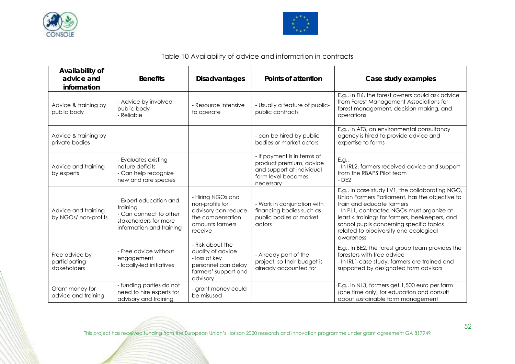



#### Table 10 Availability of advice and information in contracts

| Availability of<br>advice and<br>information    | <b>Benefits</b>                                                                                                   | <b>Disadvantages</b>                                                                                              | Points of attention                                                                                                    | Case study examples                                                                                                                                                                                                                                                                                                               |
|-------------------------------------------------|-------------------------------------------------------------------------------------------------------------------|-------------------------------------------------------------------------------------------------------------------|------------------------------------------------------------------------------------------------------------------------|-----------------------------------------------------------------------------------------------------------------------------------------------------------------------------------------------------------------------------------------------------------------------------------------------------------------------------------|
| Advice & training by<br>public body             | - Advice by involved<br>public body<br>- Reliable                                                                 | - Resource intensive<br>to operate                                                                                | - Usually a feature of public-<br>public contracts                                                                     | E.g., In FI6, the forest owners could ask advice<br>from Forest Management Associations for<br>forest management, decision-making, and<br>operations                                                                                                                                                                              |
| Advice & training by<br>private bodies          |                                                                                                                   |                                                                                                                   | - can be hired by public<br>bodies or market actors                                                                    | E.g., in AT3, an environmental consultancy<br>agency is hired to provide advice and<br>expertise to farms                                                                                                                                                                                                                         |
| Advice and training<br>by experts               | - Evaluates existing<br>nature deficits<br>- Can help recognize<br>new and rare species                           |                                                                                                                   | - If payment is in terms of<br>product premium, advice<br>and support at individual<br>farm level becomes<br>necessary | E.g.,<br>- In IRL2, farmers received advice and support<br>from the RBAPS Pilot team<br>$-$ DE2                                                                                                                                                                                                                                   |
| Advice and training<br>by NGOs/ non-profits     | - Expert education and<br>training<br>- Can connect to other<br>stakeholders for more<br>information and training | - Hiring NGOs and<br>non-profits for<br>advisory can reduce<br>the compensation<br>amounts farmers<br>receive     | - Work in conjunction with<br>financing bodies such as<br>public bodies or market<br>actors                            | E.g., In case study LV1, the collaborating NGO,<br>Union Farmers Parliament, has the objective to<br>train and educate farmers<br>- In PL1, contracted NGOs must organize at<br>least 4 trainings for farmers, beekeepers, and<br>school pupils concerning specific topics<br>related to biodiversity and ecological<br>awareness |
| Free advice by<br>participating<br>stakeholders | - Free advice without<br>engagement<br>- locally-led initiatives                                                  | - Risk about the<br>quality of advice<br>- loss of key<br>personnel can delay<br>farmers' support and<br>advisory | - Already part of the<br>project, so their budget is<br>already accounted for                                          | E.g., In BE2, the forest group team provides the<br>foresters with free advice<br>- In IRL1 case study, farmers are trained and<br>supported by designated farm advisors                                                                                                                                                          |
| Grant money for<br>advice and training          | - funding parties do not<br>need to hire experts for<br>advisory and training                                     | - grant money could<br>be misused                                                                                 |                                                                                                                        | E.g., in NL3, farmers get 1,500 euro per farm<br>(one time only) for education and consult<br>about sustainable farm management                                                                                                                                                                                                   |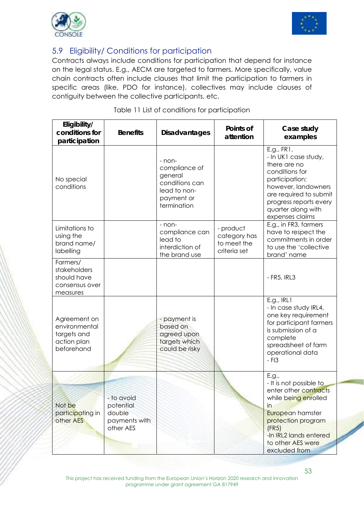



#### 5.9 Eligibility/ Conditions for participation

Contracts always include conditions for participation that depend for instance on the legal status. E.g., AECM are targeted to farmers. More specifically, value chain contracts often include clauses that limit the participation to farmers in specific areas (like, PDO for instance), collectives may include clauses of contiguity between the collective participants, etc.

| Eligibility/<br>conditions for<br>participation                           | <b>Benefits</b>                                                 | <b>Disadvantages</b>                                                                              | Points of<br>attention                                   | Case study<br>examples                                                                                                                                                                                     |
|---------------------------------------------------------------------------|-----------------------------------------------------------------|---------------------------------------------------------------------------------------------------|----------------------------------------------------------|------------------------------------------------------------------------------------------------------------------------------------------------------------------------------------------------------------|
| No special<br>conditions                                                  |                                                                 | - non-<br>compliance of<br>general<br>conditions can<br>lead to non-<br>payment or<br>termination |                                                          | E.g., FR1,<br>- In UK1 case study,<br>there are no<br>conditions for<br>participation;<br>however, landowners<br>are required to submit<br>progress reports every<br>quarter along with<br>expenses claims |
| Limitations to<br>using the<br>brand name/<br>labelling                   |                                                                 | - non-<br>compliance can<br>lead to<br>interdiction of<br>the brand use                           | - product<br>category has<br>to meet the<br>criteria set | E.g., in FR3, farmers<br>have to respect the<br>commitments in order<br>to use the 'collective<br>brand' name                                                                                              |
| Farmers/<br>stakeholders<br>should have<br>consensus over<br>measures     |                                                                 |                                                                                                   |                                                          | $-$ FR5, IRL3                                                                                                                                                                                              |
| Agreement on<br>environmental<br>targets and<br>action plan<br>beforehand |                                                                 | - payment is<br>based on<br>agreed upon<br>targets which<br>could be risky                        |                                                          | E.g., IRL1<br>- In case study IRL4,<br>one key requirement<br>for participant farmers<br>is submission of a<br>complete<br>spreadsheet of farm<br>operational data<br>$-$ FI3                              |
| Not be<br>participating in<br>other AES                                   | - to avoid<br>potential<br>double<br>payments with<br>other AES |                                                                                                   |                                                          | E.g.,<br>- It is not possible to<br>enter other contracts<br>while being enrolled<br>in<br>European hamster<br>protection program<br>(FR5)<br>-In IRL2 lands entered<br>to other AES were<br>excluded from |

|  |  |  | Table 11 List of conditions for participation |
|--|--|--|-----------------------------------------------|
|  |  |  |                                               |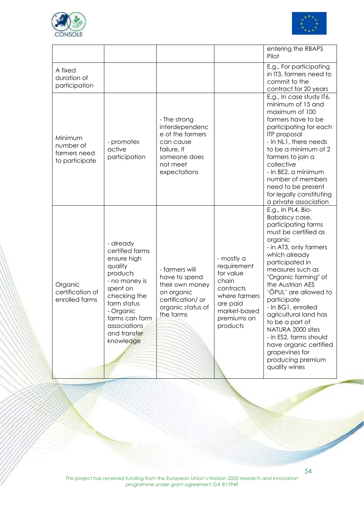



|                                                        |                                                                                                                                                                                                            |                                                                                                                            |                                                                                                                                      | entering the RBAPS<br>Pilot                                                                                                                                                                                                                                                                                                                                                                                                                                             |
|--------------------------------------------------------|------------------------------------------------------------------------------------------------------------------------------------------------------------------------------------------------------------|----------------------------------------------------------------------------------------------------------------------------|--------------------------------------------------------------------------------------------------------------------------------------|-------------------------------------------------------------------------------------------------------------------------------------------------------------------------------------------------------------------------------------------------------------------------------------------------------------------------------------------------------------------------------------------------------------------------------------------------------------------------|
| A fixed<br>duration of<br>participation                |                                                                                                                                                                                                            |                                                                                                                            |                                                                                                                                      | E.g., For participating<br>in IT3, farmers need to<br>commit to the<br>contract for 20 years                                                                                                                                                                                                                                                                                                                                                                            |
| Minimum<br>number of<br>farmers need<br>to participate | - promotes<br>active<br>participation                                                                                                                                                                      | - The strong<br>interdependenc<br>e of the farmers<br>can cause<br>failure, if<br>someone does<br>not meet<br>expectations |                                                                                                                                      | E.g., In case study IT6,<br>minimum of 15 and<br>maximum of 100<br>farmers have to be<br>participating for each<br>ITP proposal<br>- In NL1, there needs<br>to be a minimum of 2<br>farmers to join a<br>collective<br>- In BE2, a minimum<br>number of members<br>need to be present<br>for legally constituting<br>a private association                                                                                                                              |
| Organic<br>certification of<br>enrolled farms          | - already<br>certified farms<br>ensure high<br>quality<br>products<br>- no money is<br>spent on<br>checking the<br>farm status<br>- Organic<br>farms can form<br>associations<br>and transfer<br>knowledge | - farmers will<br>have to spend<br>their own money<br>on organic<br>certification/ or<br>organic status of<br>the farms    | - mostly a<br>requirement<br>for value<br>chain<br>contracts<br>where farmers<br>are paid<br>market-based<br>premiums on<br>products | E.g., In PL4, Bio-<br>Babalscy case,<br>participating farms<br>must be certified as<br>organic<br>- in AT3, only farmers<br>which already<br>participated in<br>measures such as<br>"Organic farming" of<br>the Austrian AES<br>'ÖPUL' are allowed to<br>participate<br>- In BG1, enrolled<br>agricultural land has<br>to be a part of<br>NATURA 2000 sites<br>- in ES2, farms should<br>have organic certified<br>grapevines for<br>producing premium<br>quality wines |

54

 $\overline{\phantom{a}}$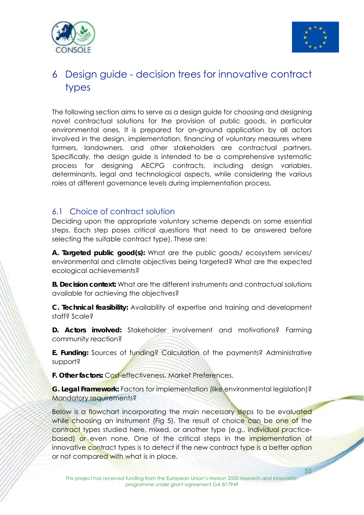



## 6 Design guide - decision trees for innovative contract types

The following section aims to serve as a design guide for choosing and designing novel contractual solutions for the provision of public goods, in particular environmental ones. It is prepared for on-ground application by all actors involved in the design, implementation, financing of voluntary measures where farmers, landowners, and other stakeholders are contractual partners. Specifically, the design guide is intended to be a comprehensive systematic process for designing AECPG contracts, including design variables, determinants, legal and technological aspects, while considering the various roles at different governance levels during implementation process.

#### 6.1 Choice of contract solution

Deciding upon the appropriate voluntary scheme depends on some essential steps. Each step poses critical questions that need to be answered before selecting the suitable contract type). These are:

**A. Targeted public good(s):** What are the public goods/ ecosystem services/ environmental and climate objectives being targeted? What are the expected ecological achievements?

**B. Decision context:** What are the different instruments and contractual solutions available for achieving the objectives?

**C. Technical feasibility:** Availability of expertise and training and development staff? Scale?

**D. Actors involved:** Stakeholder involvement and motivations? Farming community reaction?

**E. Funding:** Sources of funding? Calculation of the payments? Administrative support?

**F. Other factors:** Cost-effectiveness. Market Preferences.

**G. Legal Framework:** Factors for implementation (like environmental legislation)? Mandatory requirements?

55 Below is a flowchart incorporating the main necessary steps to be evaluated while choosing an instrument (Fig 5). The result of choice can be one of the contract types studied here, mixed, or another type (e.g., individual practicebased) or even none. One of the critical steps in the implementation of innovative contract types is to detect if the new contract type is a better option or not compared with what is in place.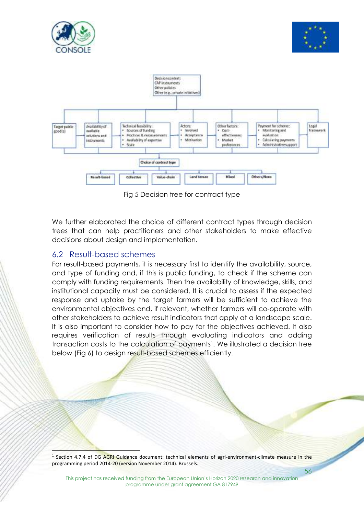



 $\overline{\phantom{a}}$ 



Fig 5 Decision tree for contract type

We further elaborated the choice of different contract types through decision trees that can help practitioners and other stakeholders to make effective decisions about design and implementation.

#### 6.2 Result-based schemes

 $\overline{a}$ 

For result-based payments, it is necessary first to identify the availability, source, and type of funding and, if this is public funding, to check if the scheme can comply with funding requirements. Then the availability of knowledge, skills, and institutional capacity must be considered. It is crucial to assess if the expected response and uptake by the target farmers will be sufficient to achieve the environmental objectives and, if relevant, whether farmers will co-operate with other stakeholders to achieve result indicators that apply at a landscape scale. It is also important to consider how to pay for the objectives achieved. It also requires verification of results through evaluating indicators and adding transaction costs to the calculation of payments<sup>1</sup>. We illustrated a decision tree below (Fig 6) to design result-based schemes efficiently.

56  $1$  Section 4.7.4 of DG AGRI Guidance document: technical elements of agri-environment-climate measure in the programming period 2014‐20 (version November 2014). Brussels.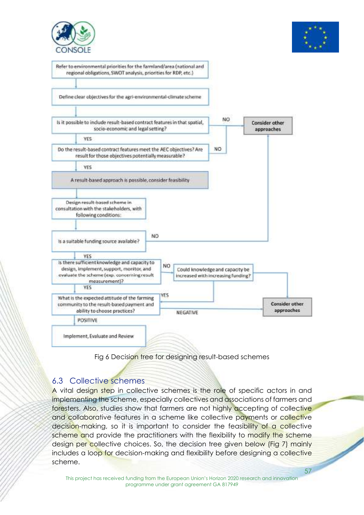







#### 6.3 Collective schemes

A vital design step in collective schemes is the role of specific actors in and implementing the scheme, especially collectives and associations of farmers and foresters. Also, studies show that farmers are not highly accepting of collective and collaborative features in a scheme like collective payments or collective decision-making, so it is important to consider the feasibility of a collective scheme and provide the practitioners with the flexibility to modify the scheme design per collective choices. So, the decision tree given below (Fig 7) mainly includes a loop for decision-making and flexibility before designing a collective scheme.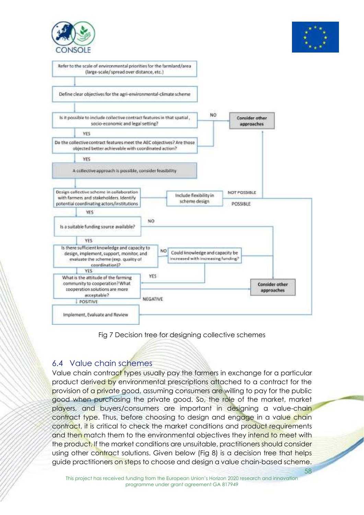



58



Fig 7 Decision tree for designing collective schemes

#### 6.4 Value chain schemes

Value chain contract types usually pay the farmers in exchange for a particular product derived by environmental prescriptions attached to a contract for the provision of a private good, assuming consumers are willing to pay for the public good when purchasing the private good. So, the role of the market, market players, and buyers/consumers are important in designing a value-chain contract type. Thus, before choosing to design and engage in a value chain contract, it is critical to check the market conditions and product requirements and then match them to the environmental objectives they intend to meet with the product. If the market conditions are unsuitable, practitioners should consider using other contract solutions. Given below (Fig 8) is a decision tree that helps guide practitioners on steps to choose and design a value chain-based scheme.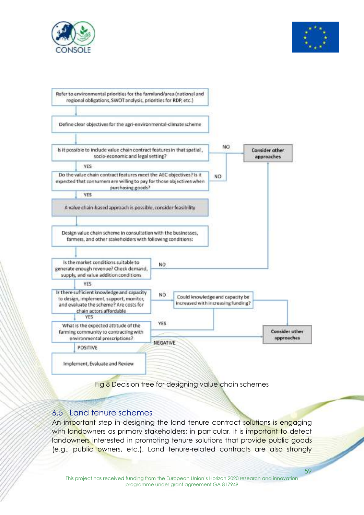





Fig 8 Decision tree for designing value chain schemes

#### 6.5 Land tenure schemes

59 An important step in designing the land tenure contract solutions is engaging with landowners as primary stakeholders; in particular, it is important to detect landowners interested in promoting tenure solutions that provide public goods (e.g., public owners, etc.). Land tenure-related contracts are also strongly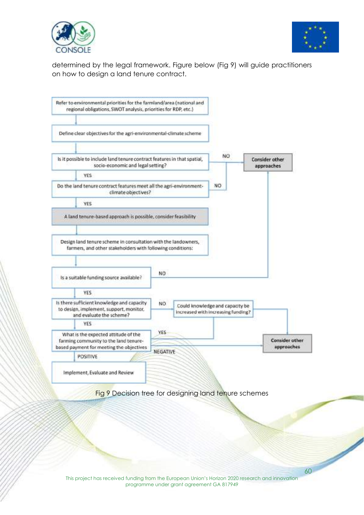



60

determined by the legal framework. Figure below (Fig 9) will guide practitioners on how to design a land tenure contract.

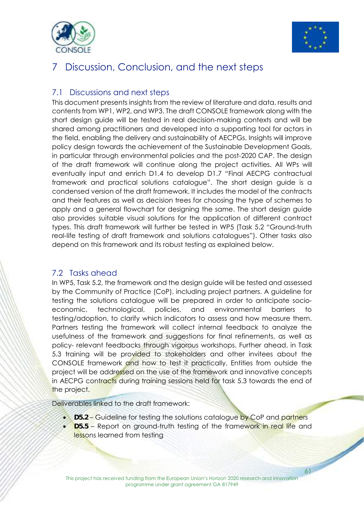



## 7 Discussion, Conclusion, and the next steps

#### 7.1 Discussions and next steps

This document presents insights from the review of literature and data, results and contents from WP1, WP2, and WP3. The draft CONSOLE framework along with the short design guide will be tested in real decision-making contexts and will be shared among practitioners and developed into a supporting tool for actors in the field, enabling the delivery and sustainability of AECPGs. Insights will improve policy design towards the achievement of the Sustainable Development Goals, in particular through environmental policies and the post-2020 CAP. The design of the draft framework will continue along the project activities. All WPs will eventually input and enrich D1.4 to develop D1.7 "Final AECPG contractual framework and practical solutions catalogue". The short design guide is a condensed version of the draft framework. It includes the model of the contracts and their features as well as decision trees for choosing the type of schemes to apply and a general flowchart for designing the same. The short design guide also provides suitable visual solutions for the application of different contract types. This draft framework will further be tested in WP5 (Task 5.2 "Ground-truth real-life testing of draft framework and solutions catalogues"). Other tasks also depend on this framework and its robust testing as explained below.

#### 7.2 Tasks ahead

In WP5, Task 5.2, the framework and the design guide will be tested and assessed by the Community of Practice (CoP), including project partners. A guideline for testing the solutions catalogue will be prepared in order to anticipate socioeconomic, technological, policies, and environmental barriers to testing/adoption, to clarify which indicators to assess and how measure them. Partners testing the framework will collect internal feedback to analyze the usefulness of the framework and suggestions for final refinements, as well as policy- relevant feedbacks through vigorous workshops. Further ahead, in Task 5.3 training will be provided to stakeholders and other invitees about the CONSOLE framework and how to test it practically. Entities from outside the project will be addressed on the use of the framework and innovative concepts in AECPG contracts during training sessions held for task 5.3 towards the end of the project.

Deliverables linked to the draft framework:

- **D5.2 Guideline for testing the solutions catalogue by CoP and partners**
- **D5.5** Report on ground-truth testing of the framework in real life and lessons learned from testing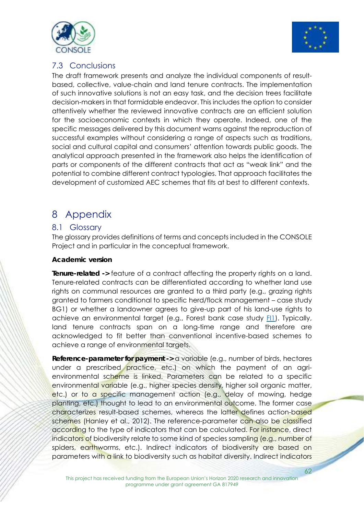



#### 7.3 Conclusions

The draft framework presents and analyze the individual components of resultbased, collective, value-chain and land tenure contracts. The implementation of such innovative solutions is not an easy task, and the decision trees facilitate decision-makers in that formidable endeavor. This includes the option to consider attentively whether the reviewed innovative contracts are an efficient solution for the socioeconomic contexts in which they operate. Indeed, one of the specific messages delivered by this document warns against the reproduction of successful examples without considering a range of aspects such as traditions, social and cultural capital and consumers' attention towards public goods. The analytical approach presented in the framework also helps the identification of parts or components of the different contracts that act as "weak link" and the potential to combine different contract typologies. That approach facilitates the development of customized AEC schemes that fits at best to different contexts.

## 8 Appendix

#### 8.1 Glossary

The glossary provides definitions of terms and concepts included in the CONSOLE Project and in particular in the conceptual framework.

#### **Academic version**

**Tenure-related ->** feature of a contract affecting the property rights on a land. Tenure-related contracts can be differentiated according to whether land use riahts on communal resources are granted to a third party (e.g., grazing rights granted to farmers conditional to specific herd/flock management – case study BG1) or whether a landowner agrees to give-up part of his land-use rights to achieve an environmental target (e.g., Forest bank case study FI1). Typically, land tenure contracts span on a long-time range and therefore are acknowledged to fit better than conventional incentive-based schemes to achieve a range of environmental targets.

**Reference-parameter for payment ->** a variable (e.g., number of birds, hectares under a prescribed practice, etc.) on which the payment of an agrienvironmental scheme is linked. Parameters can be related to a specific environmental variable (e.g., higher species density, higher soil organic matter, etc.) or to a specific management action (e.g., delay of mowing, hedge planting, etc.) thought to lead to an environmental outcome. The former case characterizes result-based schemes, whereas the latter defines action-based schemes (Hanley et al., 2012). The reference-parameter can also be classified according to the type of indicators that can be calculated. For instance, direct indicators of biodiversity relate to some kind of species sampling (e.g., number of spiders, earthworms, etc.). Indirect indicators of biodiversity are based on parameters with a link to biodiversity such as habitat diversity. Indirect indicators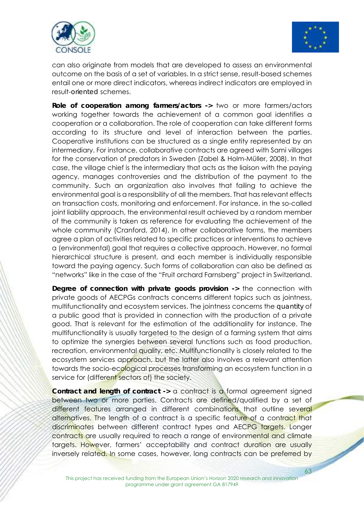



can also originate from models that are developed to assess an environmental outcome on the basis of a set of variables. In a strict sense, result-based schemes entail one or more direct indicators, whereas indirect indicators are employed in result-*oriented* schemes.

**Role of cooperation among farmers/actors ->** two or more farmers/actors working together towards the achievement of a common goal identifies a cooperation or a collaboration. The role of cooperation can take different forms according to its structure and level of interaction between the parties. Cooperative institutions can be structured as a single entity represented by an intermediary. For instance, collaborative contracts are agreed with Sami villages for the conservation of predators in Sweden (Zabel & Holm-Müller, 2008). In that case, the village chief is the intermediary that acts as the liaison with the paying agency, manages controversies and the distribution of the payment to the community. Such an organization also involves that failing to achieve the environmental goal is a responsibility of all the members. That has relevant effects on transaction costs, monitoring and enforcement. For instance, in the so-called joint liability approach, the environmental result achieved by a random member of the community is taken as reference for evaluating the achievement of the whole community (Cranford, 2014). In other collaborative forms, the members agree a plan of activities related to specific practices or interventions to achieve a (environmental) goal that requires a collective approach. However, no formal hierarchical structure is present, and each member is individually responsible toward the paying agency. Such forms of collaboration can also be defined as "networks" like in the case of the "Fruit orchard Farnsberg" project in Switzerland.

**Degree of connection with private goods provision ->** the connection with private goods of AECPGs contracts concerns different topics such as jointness, multifunctionality and ecosystem services. The jointness concerns the *quantity* of a public good that is provided in connection with the production of a private good. That is relevant for the estimation of the additionality for instance. The multifunctionality is usually targeted to the design of a farming system that aims to optimize the synergies between several functions such as food production, recreation, environmental quality, etc. Multifunctionality is closely related to the ecosystem services approach, but the latter also involves a relevant attention towards the socio-ecological processes transforming an ecosystem function in a service for (different sectors of) the society.

**Contract and length of contract -> a contract is a formal agreement signed** between two or more parties. Contracts are defined/qualified by a set of different features arranged in different combinations that outline several alternatives. The length of a contract is a specific feature of a contract that discriminates between different contract types and AECPG targets. Longer contracts are usually required to reach a range of environmental and climate targets. However, farmers' acceptability and contract duration are usually inversely related. In some cases, however, long contracts can be preferred by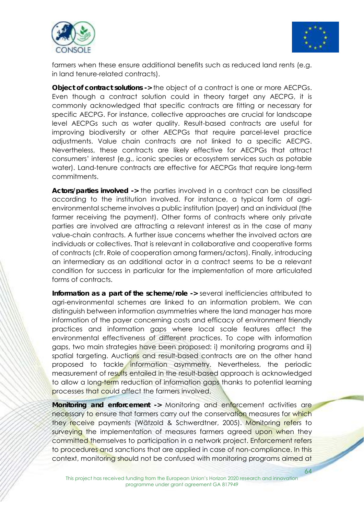



farmers when these ensure additional benefits such as reduced land rents (e.g. in land tenure-related contracts).

**Object of contract solutions ->** the object of a contract is one or more AECPGs. Even though a contract solution could in theory target any AECPG, it is commonly acknowledged that specific contracts are fitting or necessary for specific AECPG. For instance, collective approaches are crucial for landscape level AECPGs such as water quality. Result-based contracts are useful for improving biodiversity or other AECPGs that require parcel-level practice adjustments. Value chain contracts are not linked to a specific AECPG. Nevertheless, these contracts are likely effective for AECPGs that attract consumers' interest (e.g., iconic species or ecosystem services such as potable water). Land-tenure contracts are effective for AECPGs that require long-term commitments.

**Actors/parties involved ->** the parties involved in a contract can be classified according to the institution involved. For instance, a typical form of agrienvironmental scheme involves a public institution (payer) and an individual (the farmer receiving the payment). Other forms of contracts where only private parties are involved are attracting a relevant interest as in the case of many value-chain contracts. A further issue concerns whether the involved actors are individuals or collectives. That is relevant in collaborative and cooperative forms of contracts (cfr. Role of cooperation among farmers/actors). Finally, introducing an intermediary as an additional actor in a contract seems to be a relevant condition for success in particular for the implementation of more articulated forms of contracts.

**Information as a part of the scheme/role ->** several inefficiencies attributed to agri-environmental schemes are linked to an information problem. We can distinguish between information asymmetries where the land manager has more information of the payer concerning costs and efficacy of environment friendly practices and information gaps where local scale features affect the environmental effectiveness of different practices. To cope with information aaps, two main strategies have been proposed: i) monitoring programs and ii) spatial targeting. Auctions and result-based contracts are on the other hand proposed to tackle information asymmetry. Nevertheless, the periodic measurement of results entailed in the result-based approach is acknowledged to allow a long-term reduction of information gaps thanks to potential learning processes that could affect the farmers involved.

**Monitoring and enforcement ->** Monitoring and enforcement activities are necessary to ensure that farmers carry out the conservation measures for which they receive payments (Wätzold & Schwerdtner, 2005). Monitoring refers to surveying the implementation of measures farmers agreed upon when they committed themselves to participation in a network project. Enforcement refers to procedures and sanctions that are applied in case of non-compliance. In this context, monitoring should not be confused with monitoring programs aimed at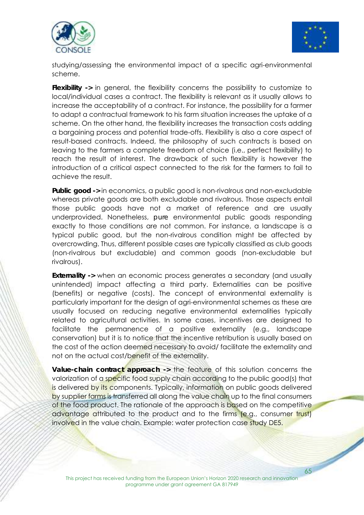



studying/assessing the environmental impact of a specific agri-environmental scheme.

**Flexibility ->** in general, the flexibility concerns the possibility to customize to local/individual cases a contract. The flexibility is relevant as it usually allows to increase the acceptability of a contract. For instance, the possibility for a farmer to adapt a contractual framework to his farm situation increases the uptake of a scheme. On the other hand, the flexibility increases the transaction costs adding a bargaining process and potential trade-offs. Flexibility is also a core aspect of result-based contracts. Indeed, the philosophy of such contracts is based on leaving to the farmers a complete freedom of choice (i.e., perfect flexibility) to reach the result of interest. The drawback of such flexibility is however the introduction of a critical aspect connected to the risk for the farmers to fail to achieve the result.

**Public good ->** in economics, a public good is non-rivalrous and non-excludable whereas private goods are both excludable and rivalrous. Those aspects entail those public goods have not a market of reference and are usually underprovided. Nonetheless, *pure* environmental public goods responding exactly to those conditions are not common. For instance, a landscape is a typical public good, but the non-rivalrous condition might be affected by overcrowding. Thus, different possible cases are typically classified as club goods (non-rivalrous but excludable) and common goods (non-excludable but rivalrous).

**Externality ->** when an economic process generates a secondary (and usually unintended) impact affecting a third party. Externalities can be positive (benefits) or negative (costs). The concept of environmental externality is particularly important for the design of agri-environmental schemes as these are usually focused on reducing negative environmental externalities typically related to agricultural activities. In some cases, incentives are designed to facilitate the permanence of a positive externality (e.g., landscape conservation) but it is to notice that the incentive retribution is usually based on the cost of the action deemed necessary to avoid/ facilitate the externality and not on the actual cost/benefit of the externality.

**Value-chain contract approach ->** the feature of this solution concerns the valorization of a specific food supply chain according to the public good(s) that is delivered by its components. Typically, information on public goods delivered by supplier farms is transferred all along the value chain up to the final consumers of the food product. The rationale of the approach is based on the competitive advantage attributed to the product and to the firms (e.g., consumer trust) involved in the value chain. Example: water protection case study DE5.